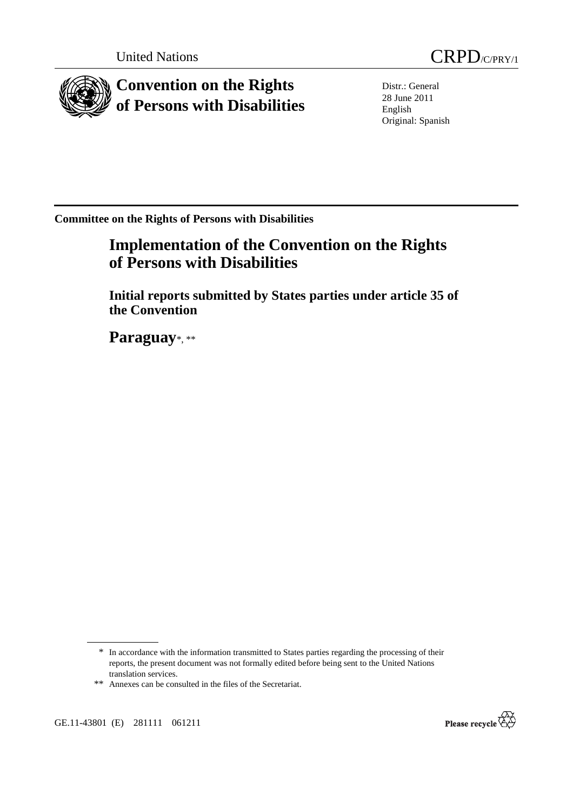

Distr.: General 28 June 2011 English Original: Spanish

**Committee on the Rights of Persons with Disabilities** 

# **Implementation of the Convention on the Rights of Persons with Disabilities**

 **Initial reports submitted by States parties under article 35 of the Convention** 

 **Paraguay**\*, \*\*

GE.11-43801 (E) 281111 061211



<sup>\*</sup> In accordance with the information transmitted to States parties regarding the processing of their reports, the present document was not formally edited before being sent to the United Nations translation services.

<sup>\*\*</sup> Annexes can be consulted in the files of the Secretariat.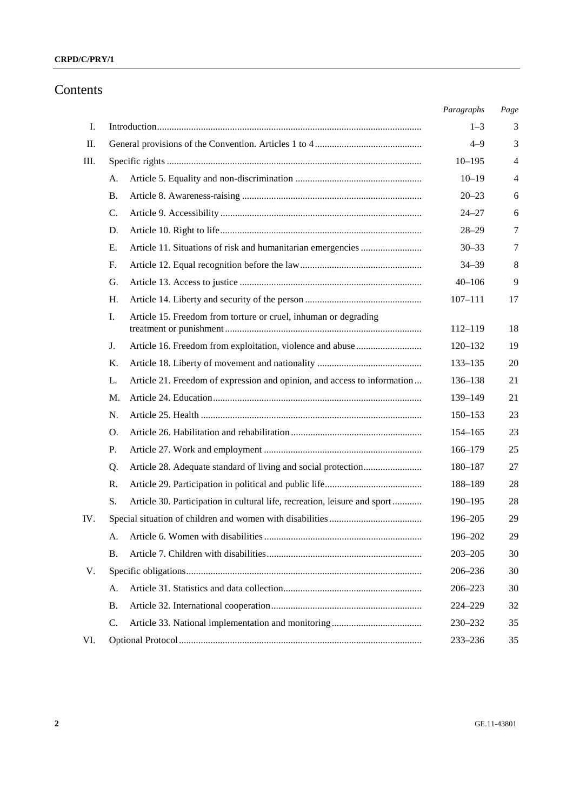### **CRPD/C/PRY/1**

## Contents

|     |    |                                                                           | Paragraphs  | Page |
|-----|----|---------------------------------------------------------------------------|-------------|------|
| I.  |    |                                                                           | $1 - 3$     | 3    |
| П.  |    |                                                                           | $4 - 9$     | 3    |
| Ш.  |    |                                                                           | $10 - 195$  | 4    |
|     | А. |                                                                           | $10 - 19$   | 4    |
|     | В. |                                                                           | $20 - 23$   | 6    |
|     | C. |                                                                           | $24 - 27$   | 6    |
|     | D. |                                                                           | $28 - 29$   | 7    |
|     | Е. | Article 11. Situations of risk and humanitarian emergencies               | $30 - 33$   | 7    |
|     | F. |                                                                           | $34 - 39$   | 8    |
|     | G. |                                                                           | $40 - 106$  | 9    |
|     | Н. |                                                                           | $107 - 111$ | 17   |
|     | Ι. | Article 15. Freedom from torture or cruel, inhuman or degrading           | 112-119     | 18   |
|     | J. |                                                                           | 120-132     | 19   |
|     | Κ. |                                                                           | 133-135     | 20   |
|     | L. | Article 21. Freedom of expression and opinion, and access to information  | 136–138     | 21   |
|     | M. |                                                                           | 139-149     | 21   |
|     | N. |                                                                           | $150 - 153$ | 23   |
|     | O. |                                                                           | $154 - 165$ | 23   |
|     | P. |                                                                           | $166 - 179$ | 25   |
|     | Q. |                                                                           | 180-187     | 27   |
|     | R. |                                                                           | 188-189     | 28   |
|     | S. | Article 30. Participation in cultural life, recreation, leisure and sport | $190 - 195$ | 28   |
| IV. |    |                                                                           | 196-205     | 29   |
|     |    |                                                                           | 196-202     | 29   |
|     | В. |                                                                           | $203 - 205$ | 30   |
| V.  |    |                                                                           | 206-236     | 30   |
|     | А. |                                                                           | $206 - 223$ | 30   |
|     | В. |                                                                           | 224-229     | 32   |
|     | C. |                                                                           | 230-232     | 35   |
| VI. |    |                                                                           | 233-236     | 35   |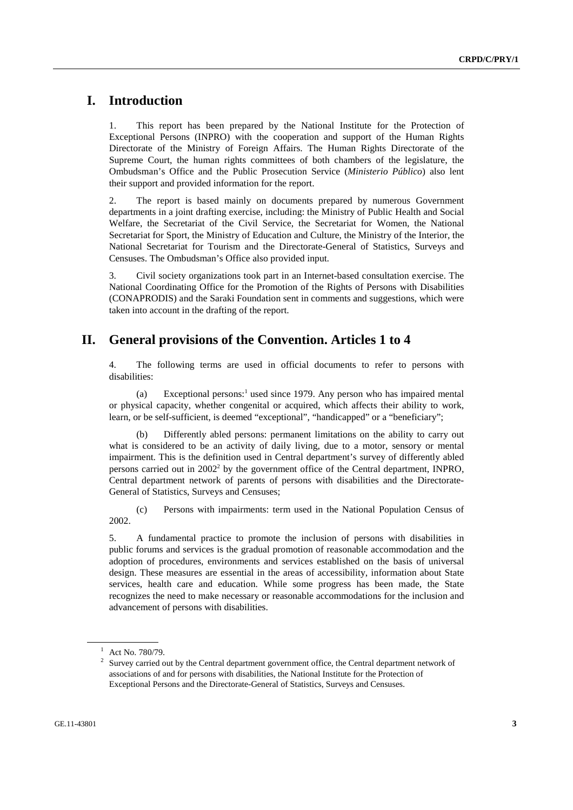## **I. Introduction**

1. This report has been prepared by the National Institute for the Protection of Exceptional Persons (INPRO) with the cooperation and support of the Human Rights Directorate of the Ministry of Foreign Affairs. The Human Rights Directorate of the Supreme Court, the human rights committees of both chambers of the legislature, the Ombudsman's Office and the Public Prosecution Service (*Ministerio Público*) also lent their support and provided information for the report.

2. The report is based mainly on documents prepared by numerous Government departments in a joint drafting exercise, including: the Ministry of Public Health and Social Welfare, the Secretariat of the Civil Service, the Secretariat for Women, the National Secretariat for Sport, the Ministry of Education and Culture, the Ministry of the Interior, the National Secretariat for Tourism and the Directorate-General of Statistics, Surveys and Censuses. The Ombudsman's Office also provided input.

3. Civil society organizations took part in an Internet-based consultation exercise. The National Coordinating Office for the Promotion of the Rights of Persons with Disabilities (CONAPRODIS) and the Saraki Foundation sent in comments and suggestions, which were taken into account in the drafting of the report.

## **II. General provisions of the Convention. Articles 1 to 4**

4. The following terms are used in official documents to refer to persons with disabilities:

(a) Exceptional persons:<sup>1</sup> used since 1979. Any person who has impaired mental or physical capacity, whether congenital or acquired, which affects their ability to work, learn, or be self-sufficient, is deemed "exceptional", "handicapped" or a "beneficiary";

 (b) Differently abled persons: permanent limitations on the ability to carry out what is considered to be an activity of daily living, due to a motor, sensory or mental impairment. This is the definition used in Central department's survey of differently abled persons carried out in  $2002<sup>2</sup>$  by the government office of the Central department, INPRO, Central department network of parents of persons with disabilities and the Directorate-General of Statistics, Surveys and Censuses;

 (c) Persons with impairments: term used in the National Population Census of 2002.

5. A fundamental practice to promote the inclusion of persons with disabilities in public forums and services is the gradual promotion of reasonable accommodation and the adoption of procedures, environments and services established on the basis of universal design. These measures are essential in the areas of accessibility, information about State services, health care and education. While some progress has been made, the State recognizes the need to make necessary or reasonable accommodations for the inclusion and advancement of persons with disabilities.

 $^{1}$  Act No. 780/79.

 $2$  Survey carried out by the Central department government office, the Central department network of associations of and for persons with disabilities, the National Institute for the Protection of Exceptional Persons and the Directorate-General of Statistics, Surveys and Censuses.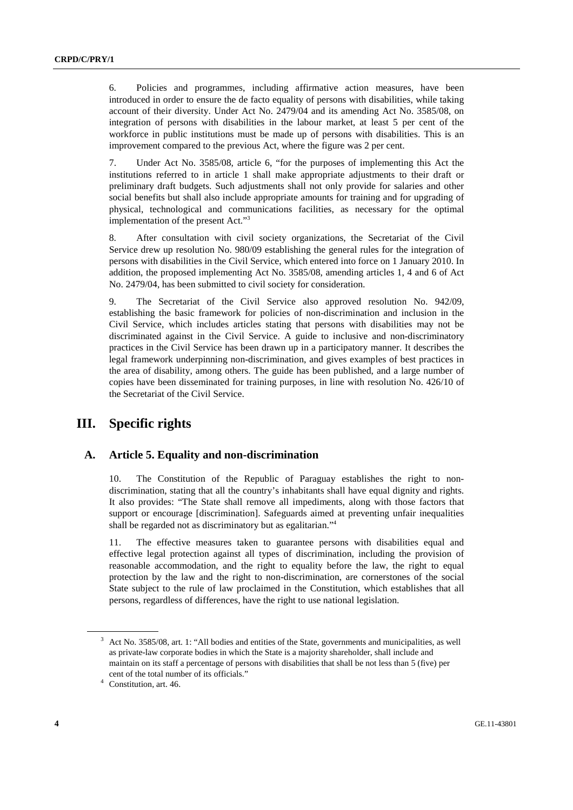6. Policies and programmes, including affirmative action measures, have been introduced in order to ensure the de facto equality of persons with disabilities, while taking account of their diversity. Under Act No. 2479/04 and its amending Act No. 3585/08, on integration of persons with disabilities in the labour market, at least 5 per cent of the workforce in public institutions must be made up of persons with disabilities. This is an improvement compared to the previous Act, where the figure was 2 per cent.

7. Under Act No. 3585/08, article 6, "for the purposes of implementing this Act the institutions referred to in article 1 shall make appropriate adjustments to their draft or preliminary draft budgets. Such adjustments shall not only provide for salaries and other social benefits but shall also include appropriate amounts for training and for upgrading of physical, technological and communications facilities, as necessary for the optimal implementation of the present Act."3

8. After consultation with civil society organizations, the Secretariat of the Civil Service drew up resolution No. 980/09 establishing the general rules for the integration of persons with disabilities in the Civil Service, which entered into force on 1 January 2010. In addition, the proposed implementing Act No. 3585/08, amending articles 1, 4 and 6 of Act No. 2479/04, has been submitted to civil society for consideration.

9. The Secretariat of the Civil Service also approved resolution No. 942/09, establishing the basic framework for policies of non-discrimination and inclusion in the Civil Service, which includes articles stating that persons with disabilities may not be discriminated against in the Civil Service. A guide to inclusive and non-discriminatory practices in the Civil Service has been drawn up in a participatory manner. It describes the legal framework underpinning non-discrimination, and gives examples of best practices in the area of disability, among others. The guide has been published, and a large number of copies have been disseminated for training purposes, in line with resolution No. 426/10 of the Secretariat of the Civil Service.

## **III. Specific rights**

#### **A. Article 5. Equality and non-discrimination**

10. The Constitution of the Republic of Paraguay establishes the right to nondiscrimination, stating that all the country's inhabitants shall have equal dignity and rights. It also provides: "The State shall remove all impediments, along with those factors that support or encourage [discrimination]. Safeguards aimed at preventing unfair inequalities shall be regarded not as discriminatory but as egalitarian."<sup>4</sup>

11. The effective measures taken to guarantee persons with disabilities equal and effective legal protection against all types of discrimination, including the provision of reasonable accommodation, and the right to equality before the law, the right to equal protection by the law and the right to non-discrimination, are cornerstones of the social State subject to the rule of law proclaimed in the Constitution, which establishes that all persons, regardless of differences, have the right to use national legislation.

<sup>&</sup>lt;sup>3</sup> Act No. 3585/08, art. 1: "All bodies and entities of the State, governments and municipalities, as well as private-law corporate bodies in which the State is a majority shareholder, shall include and maintain on its staff a percentage of persons with disabilities that shall be not less than 5 (five) per cent of the total number of its officials."

<sup>&</sup>lt;sup>4</sup> Constitution, art. 46.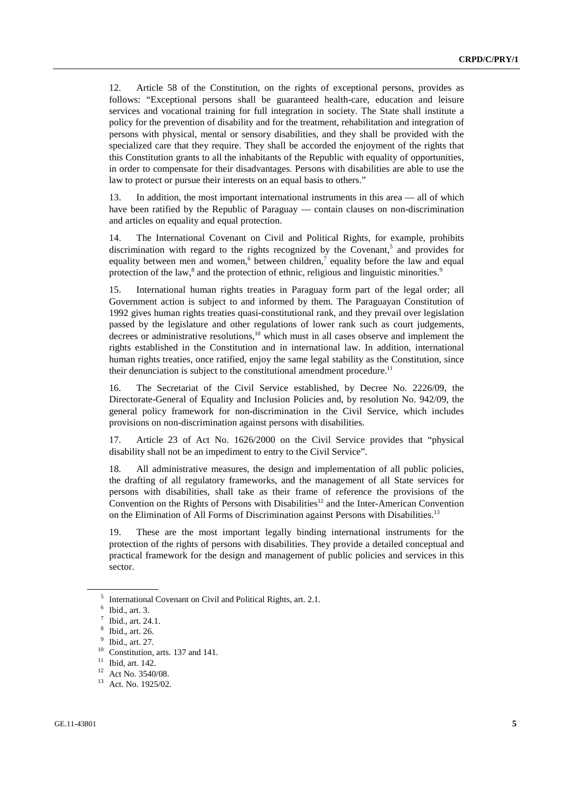12. Article 58 of the Constitution, on the rights of exceptional persons, provides as follows: "Exceptional persons shall be guaranteed health-care, education and leisure services and vocational training for full integration in society. The State shall institute a policy for the prevention of disability and for the treatment, rehabilitation and integration of persons with physical, mental or sensory disabilities, and they shall be provided with the specialized care that they require. They shall be accorded the enjoyment of the rights that this Constitution grants to all the inhabitants of the Republic with equality of opportunities, in order to compensate for their disadvantages. Persons with disabilities are able to use the law to protect or pursue their interests on an equal basis to others."

13. In addition, the most important international instruments in this area — all of which have been ratified by the Republic of Paraguay — contain clauses on non-discrimination and articles on equality and equal protection.

14. The International Covenant on Civil and Political Rights, for example, prohibits discrimination with regard to the rights recognized by the Covenant,<sup>5</sup> and provides for equality between men and women,  $6$  between children, $7$  equality before the law and equal protection of the law, $^{8}$  and the protection of ethnic, religious and linguistic minorities.<sup>9</sup>

15. International human rights treaties in Paraguay form part of the legal order; all Government action is subject to and informed by them. The Paraguayan Constitution of 1992 gives human rights treaties quasi-constitutional rank, and they prevail over legislation passed by the legislature and other regulations of lower rank such as court judgements, decrees or administrative resolutions, $10$  which must in all cases observe and implement the rights established in the Constitution and in international law. In addition, international human rights treaties, once ratified, enjoy the same legal stability as the Constitution, since their denunciation is subject to the constitutional amendment procedure.<sup>11</sup>

16. The Secretariat of the Civil Service established, by Decree No. 2226/09, the Directorate-General of Equality and Inclusion Policies and, by resolution No. 942/09, the general policy framework for non-discrimination in the Civil Service, which includes provisions on non-discrimination against persons with disabilities.

17. Article 23 of Act No. 1626/2000 on the Civil Service provides that "physical disability shall not be an impediment to entry to the Civil Service".

18. All administrative measures, the design and implementation of all public policies, the drafting of all regulatory frameworks, and the management of all State services for persons with disabilities, shall take as their frame of reference the provisions of the Convention on the Rights of Persons with Disabilities<sup>12</sup> and the Inter-American Convention on the Elimination of All Forms of Discrimination against Persons with Disabilities.<sup>13</sup>

19. These are the most important legally binding international instruments for the protection of the rights of persons with disabilities. They provide a detailed conceptual and practical framework for the design and management of public policies and services in this sector.

<sup>5</sup> International Covenant on Civil and Political Rights, art. 2.1.

<sup>6</sup> Ibid., art. 3.

<sup>7</sup> Ibid., art. 24.1.

<sup>8</sup> Ibid., art. 26. 9

 $\frac{9}{10}$  Ibid., art. 27.

 $\frac{10}{11}$  Constitution, arts. 137 and 141.

Ibid, art. 142.

<sup>&</sup>lt;sup>12</sup> Act No. 3540/08.

<sup>13</sup> Act. No. 1925/02.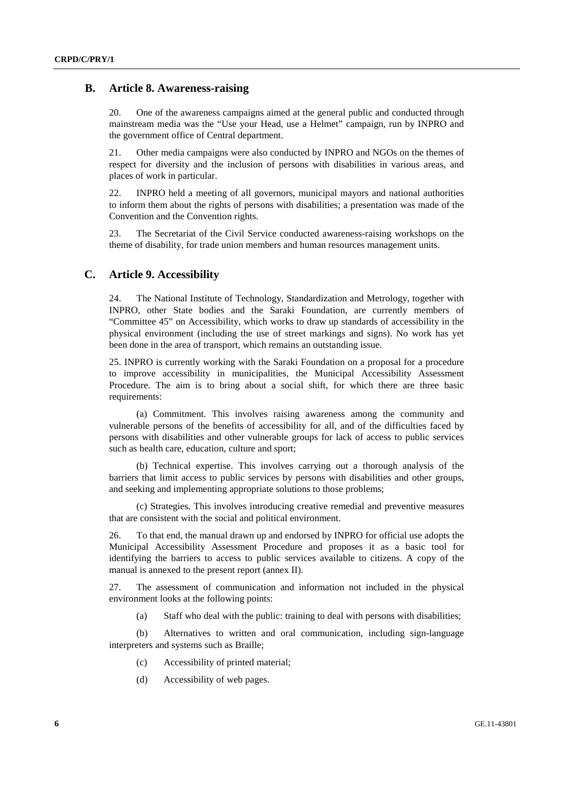#### **B. Article 8. Awareness-raising**

20. One of the awareness campaigns aimed at the general public and conducted through mainstream media was the "Use your Head, use a Helmet" campaign, run by INPRO and the government office of Central department.

21. Other media campaigns were also conducted by INPRO and NGOs on the themes of respect for diversity and the inclusion of persons with disabilities in various areas, and places of work in particular.

22. INPRO held a meeting of all governors, municipal mayors and national authorities to inform them about the rights of persons with disabilities; a presentation was made of the Convention and the Convention rights.

23. The Secretariat of the Civil Service conducted awareness-raising workshops on the theme of disability, for trade union members and human resources management units.

#### **C. Article 9. Accessibility**

24. The National Institute of Technology, Standardization and Metrology, together with INPRO, other State bodies and the Saraki Foundation, are currently members of "Committee 45" on Accessibility, which works to draw up standards of accessibility in the physical environment (including the use of street markings and signs). No work has yet been done in the area of transport, which remains an outstanding issue.

25. INPRO is currently working with the Saraki Foundation on a proposal for a procedure to improve accessibility in municipalities, the Municipal Accessibility Assessment Procedure. The aim is to bring about a social shift, for which there are three basic requirements:

 (a) Commitment. This involves raising awareness among the community and vulnerable persons of the benefits of accessibility for all, and of the difficulties faced by persons with disabilities and other vulnerable groups for lack of access to public services such as health care, education, culture and sport;

 (b) Technical expertise. This involves carrying out a thorough analysis of the barriers that limit access to public services by persons with disabilities and other groups, and seeking and implementing appropriate solutions to those problems;

 (c) Strategies. This involves introducing creative remedial and preventive measures that are consistent with the social and political environment.

26. To that end, the manual drawn up and endorsed by INPRO for official use adopts the Municipal Accessibility Assessment Procedure and proposes it as a basic tool for identifying the barriers to access to public services available to citizens. A copy of the manual is annexed to the present report (annex II).

27. The assessment of communication and information not included in the physical environment looks at the following points:

(a) Staff who deal with the public: training to deal with persons with disabilities;

 (b) Alternatives to written and oral communication, including sign-language interpreters and systems such as Braille;

(c) Accessibility of printed material;

(d) Accessibility of web pages.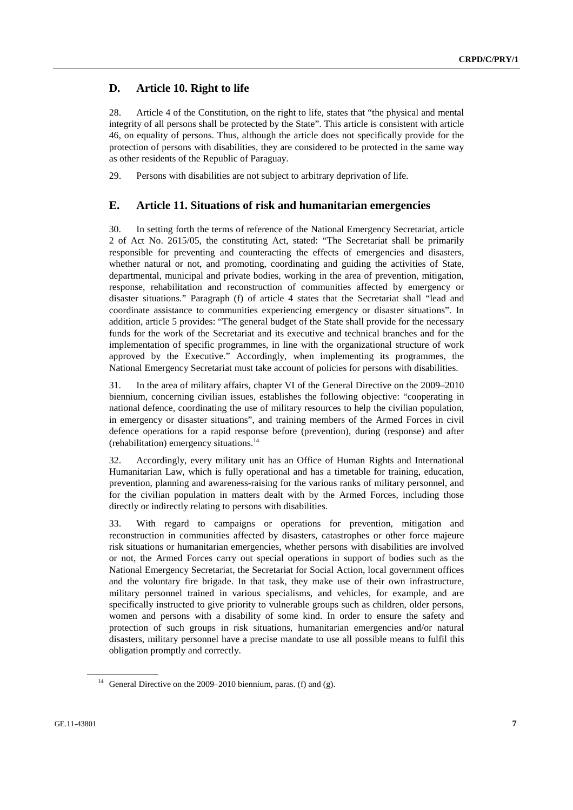## **D. Article 10. Right to life**

28. Article 4 of the Constitution, on the right to life, states that "the physical and mental integrity of all persons shall be protected by the State". This article is consistent with article 46, on equality of persons. Thus, although the article does not specifically provide for the protection of persons with disabilities, they are considered to be protected in the same way as other residents of the Republic of Paraguay.

29. Persons with disabilities are not subject to arbitrary deprivation of life.

#### **E. Article 11. Situations of risk and humanitarian emergencies**

30. In setting forth the terms of reference of the National Emergency Secretariat, article 2 of Act No. 2615/05, the constituting Act, stated: "The Secretariat shall be primarily responsible for preventing and counteracting the effects of emergencies and disasters, whether natural or not, and promoting, coordinating and guiding the activities of State, departmental, municipal and private bodies, working in the area of prevention, mitigation, response, rehabilitation and reconstruction of communities affected by emergency or disaster situations." Paragraph (f) of article 4 states that the Secretariat shall "lead and coordinate assistance to communities experiencing emergency or disaster situations". In addition, article 5 provides: "The general budget of the State shall provide for the necessary funds for the work of the Secretariat and its executive and technical branches and for the implementation of specific programmes, in line with the organizational structure of work approved by the Executive." Accordingly, when implementing its programmes, the National Emergency Secretariat must take account of policies for persons with disabilities.

31. In the area of military affairs, chapter VI of the General Directive on the 2009–2010 biennium, concerning civilian issues, establishes the following objective: "cooperating in national defence, coordinating the use of military resources to help the civilian population, in emergency or disaster situations", and training members of the Armed Forces in civil defence operations for a rapid response before (prevention), during (response) and after (rehabilitation) emergency situations.14

32. Accordingly, every military unit has an Office of Human Rights and International Humanitarian Law, which is fully operational and has a timetable for training, education, prevention, planning and awareness-raising for the various ranks of military personnel, and for the civilian population in matters dealt with by the Armed Forces, including those directly or indirectly relating to persons with disabilities.

33. With regard to campaigns or operations for prevention, mitigation and reconstruction in communities affected by disasters, catastrophes or other force majeure risk situations or humanitarian emergencies, whether persons with disabilities are involved or not, the Armed Forces carry out special operations in support of bodies such as the National Emergency Secretariat, the Secretariat for Social Action, local government offices and the voluntary fire brigade. In that task, they make use of their own infrastructure, military personnel trained in various specialisms, and vehicles, for example, and are specifically instructed to give priority to vulnerable groups such as children, older persons, women and persons with a disability of some kind. In order to ensure the safety and protection of such groups in risk situations, humanitarian emergencies and/or natural disasters, military personnel have a precise mandate to use all possible means to fulfil this obligation promptly and correctly.

<sup>&</sup>lt;sup>14</sup> General Directive on the 2009–2010 biennium, paras. (f) and (g).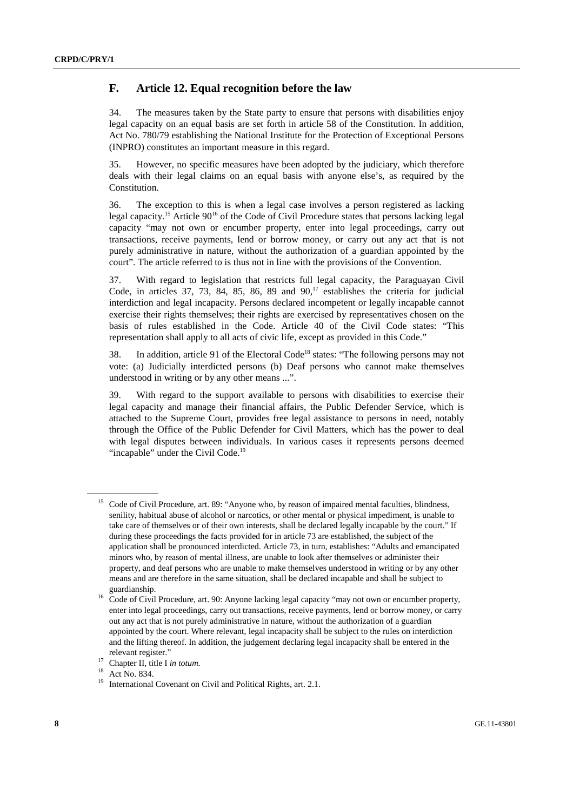### **F. Article 12. Equal recognition before the law**

34. The measures taken by the State party to ensure that persons with disabilities enjoy legal capacity on an equal basis are set forth in article 58 of the Constitution. In addition, Act No. 780/79 establishing the National Institute for the Protection of Exceptional Persons (INPRO) constitutes an important measure in this regard.

35. However, no specific measures have been adopted by the judiciary, which therefore deals with their legal claims on an equal basis with anyone else's, as required by the Constitution.

36. The exception to this is when a legal case involves a person registered as lacking legal capacity.<sup>15</sup> Article 90<sup>16</sup> of the Code of Civil Procedure states that persons lacking legal capacity "may not own or encumber property, enter into legal proceedings, carry out transactions, receive payments, lend or borrow money, or carry out any act that is not purely administrative in nature, without the authorization of a guardian appointed by the court". The article referred to is thus not in line with the provisions of the Convention.

37. With regard to legislation that restricts full legal capacity, the Paraguayan Civil Code, in articles 37, 73, 84, 85, 86, 89 and  $90<sup>17</sup>$  establishes the criteria for judicial interdiction and legal incapacity. Persons declared incompetent or legally incapable cannot exercise their rights themselves; their rights are exercised by representatives chosen on the basis of rules established in the Code. Article 40 of the Civil Code states: "This representation shall apply to all acts of civic life, except as provided in this Code."

38. In addition, article 91 of the Electoral Code<sup>18</sup> states: "The following persons may not vote: (a) Judicially interdicted persons (b) Deaf persons who cannot make themselves understood in writing or by any other means ...".

39. With regard to the support available to persons with disabilities to exercise their legal capacity and manage their financial affairs, the Public Defender Service, which is attached to the Supreme Court, provides free legal assistance to persons in need, notably through the Office of the Public Defender for Civil Matters, which has the power to deal with legal disputes between individuals. In various cases it represents persons deemed "incapable" under the Civil Code.<sup>19</sup>

<sup>&</sup>lt;sup>15</sup> Code of Civil Procedure, art. 89: "Anyone who, by reason of impaired mental faculties, blindness, senility, habitual abuse of alcohol or narcotics, or other mental or physical impediment, is unable to take care of themselves or of their own interests, shall be declared legally incapable by the court." If during these proceedings the facts provided for in article 73 are established, the subject of the application shall be pronounced interdicted. Article 73, in turn, establishes: "Adults and emancipated minors who, by reason of mental illness, are unable to look after themselves or administer their property, and deaf persons who are unable to make themselves understood in writing or by any other means and are therefore in the same situation, shall be declared incapable and shall be subject to

<sup>&</sup>lt;sup>16</sup> Code of Civil Procedure, art. 90: Anyone lacking legal capacity "may not own or encumber property, enter into legal proceedings, carry out transactions, receive payments, lend or borrow money, or carry out any act that is not purely administrative in nature, without the authorization of a guardian appointed by the court. Where relevant, legal incapacity shall be subject to the rules on interdiction and the lifting thereof. In addition, the judgement declaring legal incapacity shall be entered in the

relevant register." 17 Chapter II, title I *in totum*. 18 Act No. 834.

International Covenant on Civil and Political Rights, art. 2.1.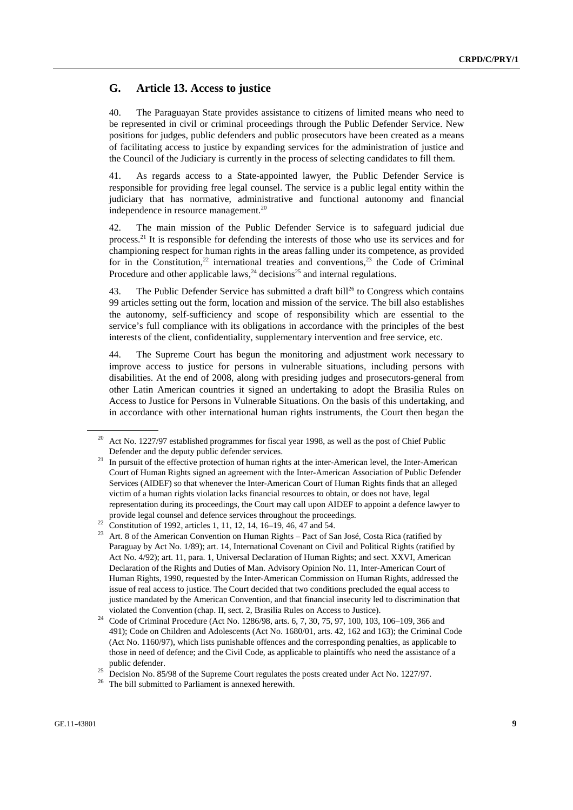## **G. Article 13. Access to justice**

40. The Paraguayan State provides assistance to citizens of limited means who need to be represented in civil or criminal proceedings through the Public Defender Service. New positions for judges, public defenders and public prosecutors have been created as a means of facilitating access to justice by expanding services for the administration of justice and the Council of the Judiciary is currently in the process of selecting candidates to fill them.

41. As regards access to a State-appointed lawyer, the Public Defender Service is responsible for providing free legal counsel. The service is a public legal entity within the judiciary that has normative, administrative and functional autonomy and financial independence in resource management.<sup>20</sup>

42. The main mission of the Public Defender Service is to safeguard judicial due process.21 It is responsible for defending the interests of those who use its services and for championing respect for human rights in the areas falling under its competence, as provided for in the Constitution,<sup>22</sup> international treaties and conventions,<sup>23</sup> the Code of Criminal Procedure and other applicable laws,  $24$  decisions<sup>25</sup> and internal regulations.

43. The Public Defender Service has submitted a draft bill<sup>26</sup> to Congress which contains 99 articles setting out the form, location and mission of the service. The bill also establishes the autonomy, self-sufficiency and scope of responsibility which are essential to the service's full compliance with its obligations in accordance with the principles of the best interests of the client, confidentiality, supplementary intervention and free service, etc.

44. The Supreme Court has begun the monitoring and adjustment work necessary to improve access to justice for persons in vulnerable situations, including persons with disabilities. At the end of 2008, along with presiding judges and prosecutors-general from other Latin American countries it signed an undertaking to adopt the Brasilia Rules on Access to Justice for Persons in Vulnerable Situations. On the basis of this undertaking, and in accordance with other international human rights instruments, the Court then began the

<sup>&</sup>lt;sup>20</sup> Act No. 1227/97 established programmes for fiscal year 1998, as well as the post of Chief Public Defender and the deputy public defender services.<br>In pursuit of the effective protection of human rights at the inter-American level, the Inter-American

Court of Human Rights signed an agreement with the Inter-American Association of Public Defender Services (AIDEF) so that whenever the Inter-American Court of Human Rights finds that an alleged victim of a human rights violation lacks financial resources to obtain, or does not have, legal representation during its proceedings, the Court may call upon AIDEF to appoint a defence lawyer to

provide legal counsel and defence services throughout the proceedings.<br><sup>22</sup> Constitution of 1992, articles 1, 11, 12, 14, 16–19, 46, 47 and 54.<br><sup>23</sup> Art. 8 of the American Consuming on Human Birly, a Dart of San Jac

<sup>23</sup> Art. 8 of the American Convention on Human Rights – Pact of San José, Costa Rica (ratified by Paraguay by Act No. 1/89); art. 14, International Covenant on Civil and Political Rights (ratified by Act No. 4/92); art. 11, para. 1, Universal Declaration of Human Rights; and sect. XXVI, American Declaration of the Rights and Duties of Man. Advisory Opinion No. 11, Inter-American Court of Human Rights, 1990, requested by the Inter-American Commission on Human Rights, addressed the issue of real access to justice. The Court decided that two conditions precluded the equal access to justice mandated by the American Convention, and that financial insecurity led to discrimination that

violated the Convention (chap. II, sect. 2, Brasilia Rules on Access to Justice). 24 Code of Criminal Procedure (Act No. 1286/98, arts. 6, 7, 30, 75, 97, 100, 103, 106–109, 366 and 491); Code on Children and Adolescents (Act No. 1680/01, arts. 42, 162 and 163); the Criminal Code (Act No. 1160/97), which lists punishable offences and the corresponding penalties, as applicable to those in need of defence; and the Civil Code, as applicable to plaintiffs who need the assistance of a public defender.<br><sup>25</sup> Decision No. 85/98 of the Supreme Court regulates the posts created under Act No. 1227/97.<br><sup>26</sup> The bill submitted to Perliament is appared between the

The bill submitted to Parliament is annexed herewith.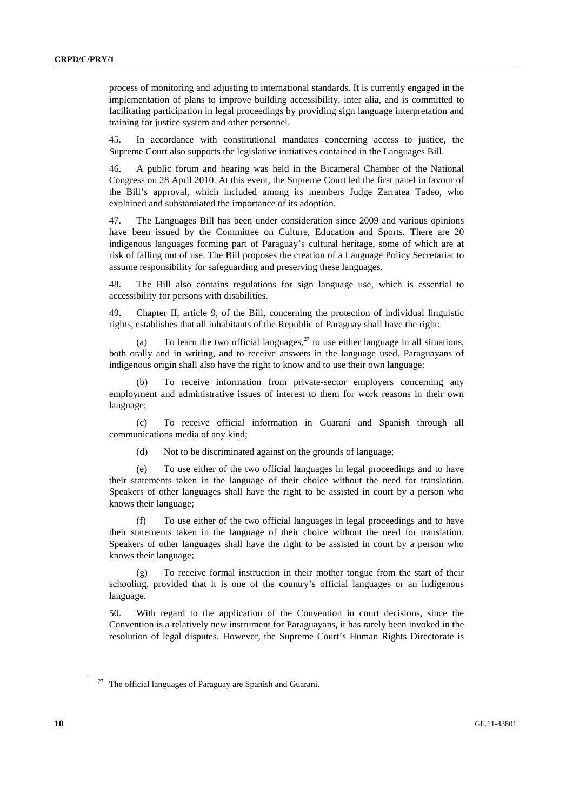process of monitoring and adjusting to international standards. It is currently engaged in the implementation of plans to improve building accessibility, inter alia, and is committed to facilitating participation in legal proceedings by providing sign language interpretation and training for justice system and other personnel.

45. In accordance with constitutional mandates concerning access to justice, the Supreme Court also supports the legislative initiatives contained in the Languages Bill.

46. A public forum and hearing was held in the Bicameral Chamber of the National Congress on 28 April 2010. At this event, the Supreme Court led the first panel in favour of the Bill's approval, which included among its members Judge Zarratea Tadeo, who explained and substantiated the importance of its adoption.

47. The Languages Bill has been under consideration since 2009 and various opinions have been issued by the Committee on Culture. Education and Sports. There are 20 indigenous languages forming part of Paraguay's cultural heritage, some of which are at risk of falling out of use. The Bill proposes the creation of a Language Policy Secretariat to assume responsibility for safeguarding and preserving these languages.

48. The Bill also contains regulations for sign language use, which is essential to accessibility for persons with disabilities.

49. Chapter II, article 9, of the Bill, concerning the protection of individual linguistic rights, establishes that all inhabitants of the Republic of Paraguay shall have the right:

(a) To learn the two official languages,  $^{27}$  to use either language in all situations, both orally and in writing, and to receive answers in the language used. Paraguayans of indigenous origin shall also have the right to know and to use their own language;

 (b) To receive information from private-sector employers concerning any employment and administrative issues of interest to them for work reasons in their own language;

 (c) To receive official information in Guaraní and Spanish through all communications media of any kind;

(d) Not to be discriminated against on the grounds of language;

 (e) To use either of the two official languages in legal proceedings and to have their statements taken in the language of their choice without the need for translation. Speakers of other languages shall have the right to be assisted in court by a person who knows their language;

 (f) To use either of the two official languages in legal proceedings and to have their statements taken in the language of their choice without the need for translation. Speakers of other languages shall have the right to be assisted in court by a person who knows their language;

 (g) To receive formal instruction in their mother tongue from the start of their schooling, provided that it is one of the country's official languages or an indigenous language.

50. With regard to the application of the Convention in court decisions, since the Convention is a relatively new instrument for Paraguayans, it has rarely been invoked in the resolution of legal disputes. However, the Supreme Court's Human Rights Directorate is

 $27$  The official languages of Paraguay are Spanish and Guaraní.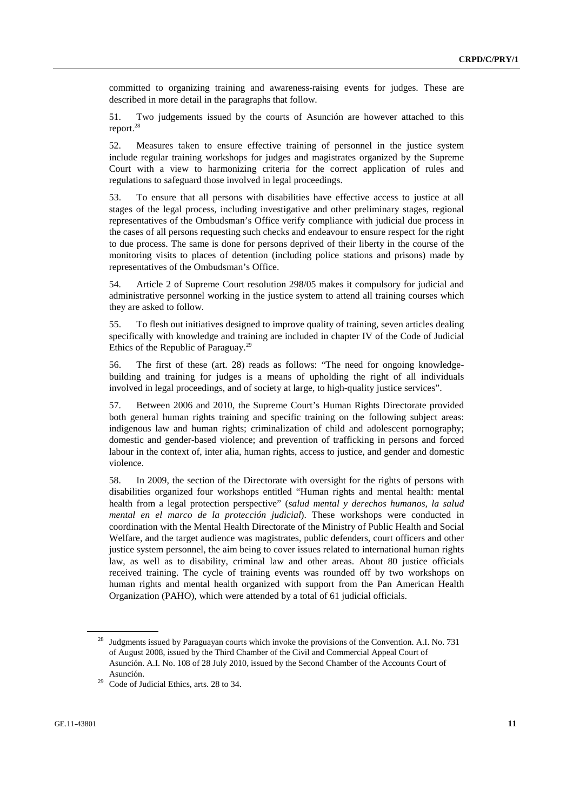committed to organizing training and awareness-raising events for judges. These are described in more detail in the paragraphs that follow.

51. Two judgements issued by the courts of Asunción are however attached to this report.28

52. Measures taken to ensure effective training of personnel in the justice system include regular training workshops for judges and magistrates organized by the Supreme Court with a view to harmonizing criteria for the correct application of rules and regulations to safeguard those involved in legal proceedings.

53. To ensure that all persons with disabilities have effective access to justice at all stages of the legal process, including investigative and other preliminary stages, regional representatives of the Ombudsman's Office verify compliance with judicial due process in the cases of all persons requesting such checks and endeavour to ensure respect for the right to due process. The same is done for persons deprived of their liberty in the course of the monitoring visits to places of detention (including police stations and prisons) made by representatives of the Ombudsman's Office.

54. Article 2 of Supreme Court resolution 298/05 makes it compulsory for judicial and administrative personnel working in the justice system to attend all training courses which they are asked to follow.

55. To flesh out initiatives designed to improve quality of training, seven articles dealing specifically with knowledge and training are included in chapter IV of the Code of Judicial Ethics of the Republic of Paraguay.29

56. The first of these (art. 28) reads as follows: "The need for ongoing knowledgebuilding and training for judges is a means of upholding the right of all individuals involved in legal proceedings, and of society at large, to high-quality justice services".

57. Between 2006 and 2010, the Supreme Court's Human Rights Directorate provided both general human rights training and specific training on the following subject areas: indigenous law and human rights; criminalization of child and adolescent pornography; domestic and gender-based violence; and prevention of trafficking in persons and forced labour in the context of, inter alia, human rights, access to justice, and gender and domestic violence.

58. In 2009, the section of the Directorate with oversight for the rights of persons with disabilities organized four workshops entitled "Human rights and mental health: mental health from a legal protection perspective" (*salud mental y derechos humanos, la salud mental en el marco de la protección judicial*). These workshops were conducted in coordination with the Mental Health Directorate of the Ministry of Public Health and Social Welfare, and the target audience was magistrates, public defenders, court officers and other justice system personnel, the aim being to cover issues related to international human rights law, as well as to disability, criminal law and other areas. About 80 justice officials received training. The cycle of training events was rounded off by two workshops on human rights and mental health organized with support from the Pan American Health Organization (PAHO), which were attended by a total of 61 judicial officials.

<sup>&</sup>lt;sup>28</sup> Judgments issued by Paraguayan courts which invoke the provisions of the Convention. A.I. No. 731 of August 2008, issued by the Third Chamber of the Civil and Commercial Appeal Court of Asunción. A.I. No. 108 of 28 July 2010, issued by the Second Chamber of the Accounts Court of Asunción.<br><sup>29</sup> Code of Judicial Ethics, arts. 28 to 34.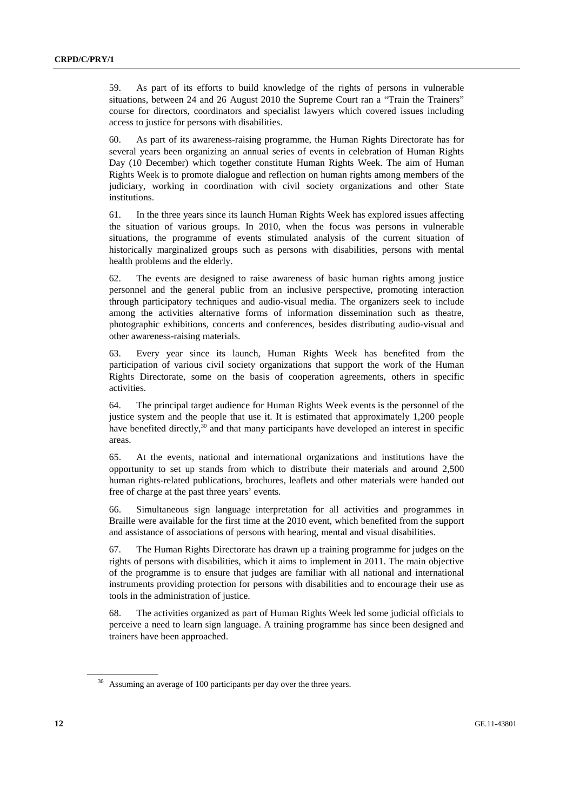59. As part of its efforts to build knowledge of the rights of persons in vulnerable situations, between 24 and 26 August 2010 the Supreme Court ran a "Train the Trainers" course for directors, coordinators and specialist lawyers which covered issues including access to justice for persons with disabilities.

60. As part of its awareness-raising programme, the Human Rights Directorate has for several years been organizing an annual series of events in celebration of Human Rights Day (10 December) which together constitute Human Rights Week. The aim of Human Rights Week is to promote dialogue and reflection on human rights among members of the judiciary, working in coordination with civil society organizations and other State institutions.

61. In the three years since its launch Human Rights Week has explored issues affecting the situation of various groups. In 2010, when the focus was persons in vulnerable situations, the programme of events stimulated analysis of the current situation of historically marginalized groups such as persons with disabilities, persons with mental health problems and the elderly.

62. The events are designed to raise awareness of basic human rights among justice personnel and the general public from an inclusive perspective, promoting interaction through participatory techniques and audio-visual media. The organizers seek to include among the activities alternative forms of information dissemination such as theatre, photographic exhibitions, concerts and conferences, besides distributing audio-visual and other awareness-raising materials.

63. Every year since its launch, Human Rights Week has benefited from the participation of various civil society organizations that support the work of the Human Rights Directorate, some on the basis of cooperation agreements, others in specific activities.

64. The principal target audience for Human Rights Week events is the personnel of the justice system and the people that use it. It is estimated that approximately 1,200 people have benefited directly,<sup>30</sup> and that many participants have developed an interest in specific areas.

65. At the events, national and international organizations and institutions have the opportunity to set up stands from which to distribute their materials and around 2,500 human rights-related publications, brochures, leaflets and other materials were handed out free of charge at the past three years' events.

66. Simultaneous sign language interpretation for all activities and programmes in Braille were available for the first time at the 2010 event, which benefited from the support and assistance of associations of persons with hearing, mental and visual disabilities.

67. The Human Rights Directorate has drawn up a training programme for judges on the rights of persons with disabilities, which it aims to implement in 2011. The main objective of the programme is to ensure that judges are familiar with all national and international instruments providing protection for persons with disabilities and to encourage their use as tools in the administration of justice.

68. The activities organized as part of Human Rights Week led some judicial officials to perceive a need to learn sign language. A training programme has since been designed and trainers have been approached.

<sup>&</sup>lt;sup>30</sup> Assuming an average of 100 participants per day over the three years.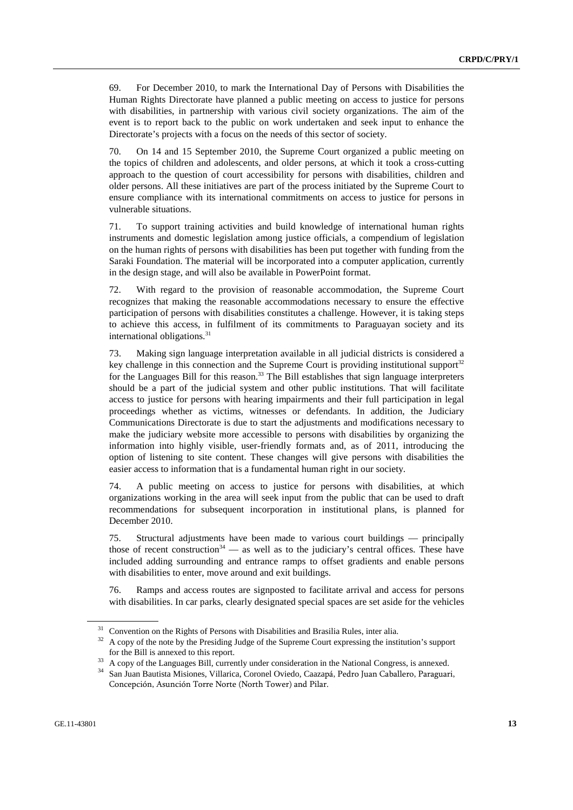69. For December 2010, to mark the International Day of Persons with Disabilities the Human Rights Directorate have planned a public meeting on access to justice for persons with disabilities, in partnership with various civil society organizations. The aim of the event is to report back to the public on work undertaken and seek input to enhance the Directorate's projects with a focus on the needs of this sector of society.

70. On 14 and 15 September 2010, the Supreme Court organized a public meeting on the topics of children and adolescents, and older persons, at which it took a cross-cutting approach to the question of court accessibility for persons with disabilities, children and older persons. All these initiatives are part of the process initiated by the Supreme Court to ensure compliance with its international commitments on access to justice for persons in vulnerable situations.

71. To support training activities and build knowledge of international human rights instruments and domestic legislation among justice officials, a compendium of legislation on the human rights of persons with disabilities has been put together with funding from the Saraki Foundation. The material will be incorporated into a computer application, currently in the design stage, and will also be available in PowerPoint format.

72. With regard to the provision of reasonable accommodation, the Supreme Court recognizes that making the reasonable accommodations necessary to ensure the effective participation of persons with disabilities constitutes a challenge. However, it is taking steps to achieve this access, in fulfilment of its commitments to Paraguayan society and its international obligations.<sup>31</sup>

73. Making sign language interpretation available in all judicial districts is considered a key challenge in this connection and the Supreme Court is providing institutional support<sup>32</sup> for the Languages Bill for this reason.<sup>33</sup> The Bill establishes that sign language interpreters should be a part of the judicial system and other public institutions. That will facilitate access to justice for persons with hearing impairments and their full participation in legal proceedings whether as victims, witnesses or defendants. In addition, the Judiciary Communications Directorate is due to start the adjustments and modifications necessary to make the judiciary website more accessible to persons with disabilities by organizing the information into highly visible, user-friendly formats and, as of 2011, introducing the option of listening to site content. These changes will give persons with disabilities the easier access to information that is a fundamental human right in our society.

74. A public meeting on access to justice for persons with disabilities, at which organizations working in the area will seek input from the public that can be used to draft recommendations for subsequent incorporation in institutional plans, is planned for December 2010.

75. Structural adjustments have been made to various court buildings — principally those of recent construction<sup>34</sup> — as well as to the judiciary's central offices. These have included adding surrounding and entrance ramps to offset gradients and enable persons with disabilities to enter, move around and exit buildings.

76. Ramps and access routes are signposted to facilitate arrival and access for persons with disabilities. In car parks, clearly designated special spaces are set aside for the vehicles

<sup>&</sup>lt;sup>31</sup> Convention on the Rights of Persons with Disabilities and Brasilia Rules, inter alia.<br><sup>32</sup> A copy of the note by the Presiding Judge of the Supreme Court expressing the institution's support for the Bill is annexed to this report.<br><sup>33</sup> A copy of the Languages Bill, currently under consideration in the National Congress, is annexed.

<sup>34</sup> San Juan Bautista Misiones, Villarica, Coronel Oviedo, Caazapá, Pedro Juan Caballero, Paraguari, Concepción, Asunción Torre Norte (North Tower) and Pilar.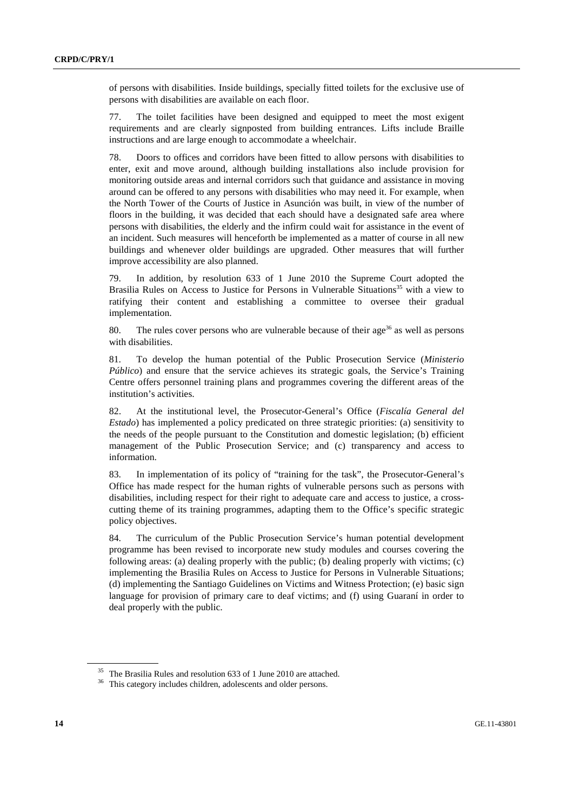of persons with disabilities. Inside buildings, specially fitted toilets for the exclusive use of persons with disabilities are available on each floor.

77. The toilet facilities have been designed and equipped to meet the most exigent requirements and are clearly signposted from building entrances. Lifts include Braille instructions and are large enough to accommodate a wheelchair.

78. Doors to offices and corridors have been fitted to allow persons with disabilities to enter, exit and move around, although building installations also include provision for monitoring outside areas and internal corridors such that guidance and assistance in moving around can be offered to any persons with disabilities who may need it. For example, when the North Tower of the Courts of Justice in Asunción was built, in view of the number of floors in the building, it was decided that each should have a designated safe area where persons with disabilities, the elderly and the infirm could wait for assistance in the event of an incident. Such measures will henceforth be implemented as a matter of course in all new buildings and whenever older buildings are upgraded. Other measures that will further improve accessibility are also planned.

79. In addition, by resolution 633 of 1 June 2010 the Supreme Court adopted the Brasilia Rules on Access to Justice for Persons in Vulnerable Situations<sup>35</sup> with a view to ratifying their content and establishing a committee to oversee their gradual implementation.

80. The rules cover persons who are vulnerable because of their age<sup>36</sup> as well as persons with disabilities.

81. To develop the human potential of the Public Prosecution Service (*Ministerio Público*) and ensure that the service achieves its strategic goals, the Service's Training Centre offers personnel training plans and programmes covering the different areas of the institution's activities.

82. At the institutional level, the Prosecutor-General's Office (*Fiscalía General del Estado*) has implemented a policy predicated on three strategic priorities: (a) sensitivity to the needs of the people pursuant to the Constitution and domestic legislation; (b) efficient management of the Public Prosecution Service; and (c) transparency and access to information.

83. In implementation of its policy of "training for the task", the Prosecutor-General's Office has made respect for the human rights of vulnerable persons such as persons with disabilities, including respect for their right to adequate care and access to justice, a crosscutting theme of its training programmes, adapting them to the Office's specific strategic policy objectives.

84. The curriculum of the Public Prosecution Service's human potential development programme has been revised to incorporate new study modules and courses covering the following areas: (a) dealing properly with the public; (b) dealing properly with victims; (c) implementing the Brasilia Rules on Access to Justice for Persons in Vulnerable Situations; (d) implementing the Santiago Guidelines on Victims and Witness Protection; (e) basic sign language for provision of primary care to deaf victims; and (f) using Guaraní in order to deal properly with the public.

<sup>35</sup> The Brasilia Rules and resolution 633 of 1 June 2010 are attached.

<sup>&</sup>lt;sup>36</sup> This category includes children, adolescents and older persons.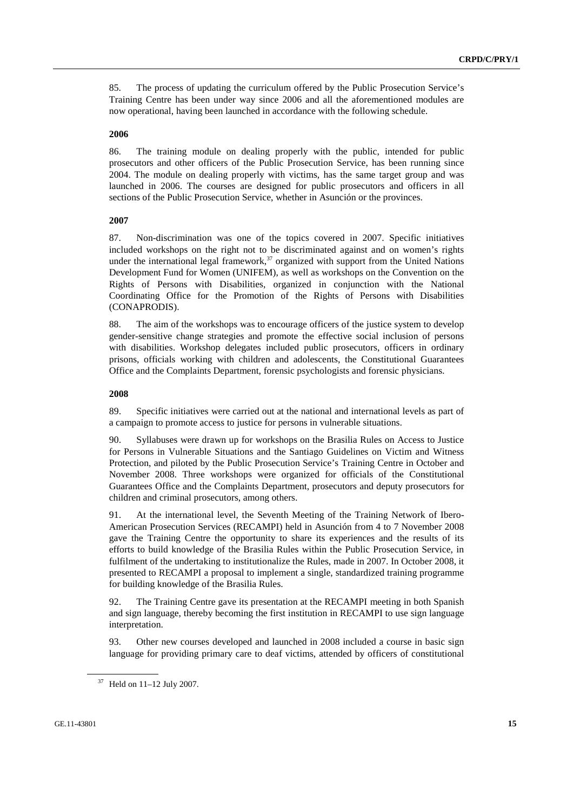85. The process of updating the curriculum offered by the Public Prosecution Service's Training Centre has been under way since 2006 and all the aforementioned modules are now operational, having been launched in accordance with the following schedule.

#### **2006**

86. The training module on dealing properly with the public, intended for public prosecutors and other officers of the Public Prosecution Service, has been running since 2004. The module on dealing properly with victims, has the same target group and was launched in 2006. The courses are designed for public prosecutors and officers in all sections of the Public Prosecution Service, whether in Asunción or the provinces.

#### **2007**

87. Non-discrimination was one of the topics covered in 2007. Specific initiatives included workshops on the right not to be discriminated against and on women's rights under the international legal framework, $37$  organized with support from the United Nations Development Fund for Women (UNIFEM), as well as workshops on the Convention on the Rights of Persons with Disabilities, organized in conjunction with the National Coordinating Office for the Promotion of the Rights of Persons with Disabilities (CONAPRODIS).

88. The aim of the workshops was to encourage officers of the justice system to develop gender-sensitive change strategies and promote the effective social inclusion of persons with disabilities. Workshop delegates included public prosecutors, officers in ordinary prisons, officials working with children and adolescents, the Constitutional Guarantees Office and the Complaints Department, forensic psychologists and forensic physicians.

#### **2008**

89. Specific initiatives were carried out at the national and international levels as part of a campaign to promote access to justice for persons in vulnerable situations.

90. Syllabuses were drawn up for workshops on the Brasilia Rules on Access to Justice for Persons in Vulnerable Situations and the Santiago Guidelines on Victim and Witness Protection, and piloted by the Public Prosecution Service's Training Centre in October and November 2008. Three workshops were organized for officials of the Constitutional Guarantees Office and the Complaints Department, prosecutors and deputy prosecutors for children and criminal prosecutors, among others.

91. At the international level, the Seventh Meeting of the Training Network of Ibero-American Prosecution Services (RECAMPI) held in Asunción from 4 to 7 November 2008 gave the Training Centre the opportunity to share its experiences and the results of its efforts to build knowledge of the Brasilia Rules within the Public Prosecution Service, in fulfilment of the undertaking to institutionalize the Rules, made in 2007. In October 2008, it presented to RECAMPI a proposal to implement a single, standardized training programme for building knowledge of the Brasilia Rules.

92. The Training Centre gave its presentation at the RECAMPI meeting in both Spanish and sign language, thereby becoming the first institution in RECAMPI to use sign language interpretation.

93. Other new courses developed and launched in 2008 included a course in basic sign language for providing primary care to deaf victims, attended by officers of constitutional

<sup>37</sup> Held on 11–12 July 2007.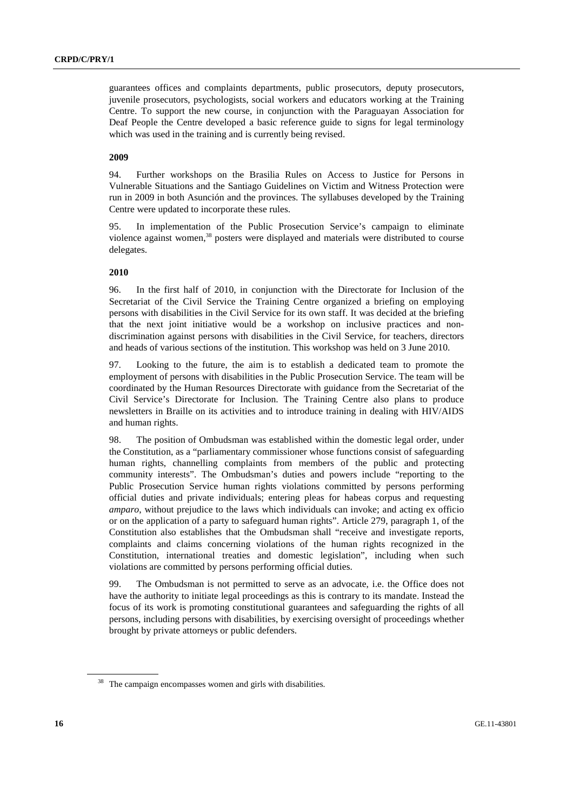guarantees offices and complaints departments, public prosecutors, deputy prosecutors, juvenile prosecutors, psychologists, social workers and educators working at the Training Centre. To support the new course, in conjunction with the Paraguayan Association for Deaf People the Centre developed a basic reference guide to signs for legal terminology which was used in the training and is currently being revised.

#### **2009**

94. Further workshops on the Brasilia Rules on Access to Justice for Persons in Vulnerable Situations and the Santiago Guidelines on Victim and Witness Protection were run in 2009 in both Asunción and the provinces. The syllabuses developed by the Training Centre were updated to incorporate these rules.

95. In implementation of the Public Prosecution Service's campaign to eliminate violence against women,38 posters were displayed and materials were distributed to course delegates.

#### **2010**

96. In the first half of 2010, in conjunction with the Directorate for Inclusion of the Secretariat of the Civil Service the Training Centre organized a briefing on employing persons with disabilities in the Civil Service for its own staff. It was decided at the briefing that the next joint initiative would be a workshop on inclusive practices and nondiscrimination against persons with disabilities in the Civil Service, for teachers, directors and heads of various sections of the institution. This workshop was held on 3 June 2010.

97. Looking to the future, the aim is to establish a dedicated team to promote the employment of persons with disabilities in the Public Prosecution Service. The team will be coordinated by the Human Resources Directorate with guidance from the Secretariat of the Civil Service's Directorate for Inclusion. The Training Centre also plans to produce newsletters in Braille on its activities and to introduce training in dealing with HIV/AIDS and human rights.

98. The position of Ombudsman was established within the domestic legal order, under the Constitution, as a "parliamentary commissioner whose functions consist of safeguarding human rights, channelling complaints from members of the public and protecting community interests". The Ombudsman's duties and powers include "reporting to the Public Prosecution Service human rights violations committed by persons performing official duties and private individuals; entering pleas for habeas corpus and requesting *amparo*, without prejudice to the laws which individuals can invoke; and acting ex officio or on the application of a party to safeguard human rights". Article 279, paragraph 1, of the Constitution also establishes that the Ombudsman shall "receive and investigate reports, complaints and claims concerning violations of the human rights recognized in the Constitution, international treaties and domestic legislation", including when such violations are committed by persons performing official duties.

99. The Ombudsman is not permitted to serve as an advocate, i.e. the Office does not have the authority to initiate legal proceedings as this is contrary to its mandate. Instead the focus of its work is promoting constitutional guarantees and safeguarding the rights of all persons, including persons with disabilities, by exercising oversight of proceedings whether brought by private attorneys or public defenders.

<sup>&</sup>lt;sup>38</sup> The campaign encompasses women and girls with disabilities.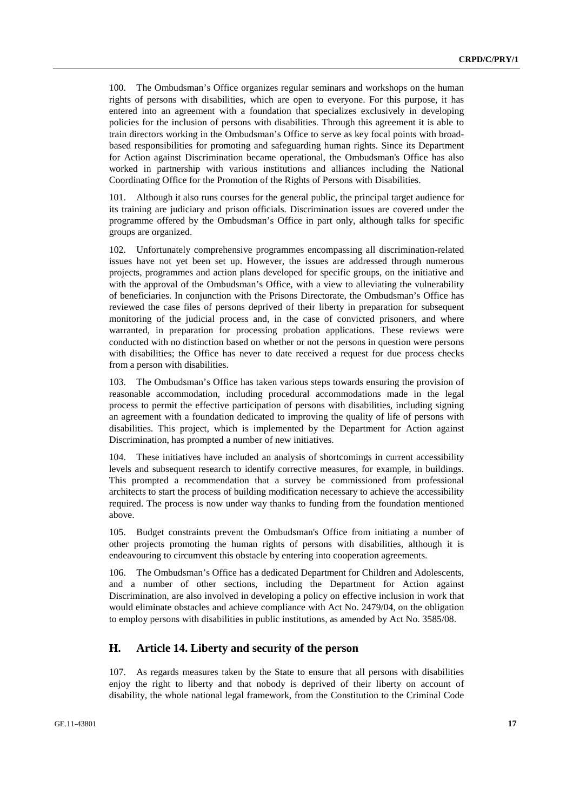100. The Ombudsman's Office organizes regular seminars and workshops on the human rights of persons with disabilities, which are open to everyone. For this purpose, it has entered into an agreement with a foundation that specializes exclusively in developing policies for the inclusion of persons with disabilities. Through this agreement it is able to train directors working in the Ombudsman's Office to serve as key focal points with broadbased responsibilities for promoting and safeguarding human rights. Since its Department for Action against Discrimination became operational, the Ombudsman's Office has also worked in partnership with various institutions and alliances including the National Coordinating Office for the Promotion of the Rights of Persons with Disabilities.

101. Although it also runs courses for the general public, the principal target audience for its training are judiciary and prison officials. Discrimination issues are covered under the programme offered by the Ombudsman's Office in part only, although talks for specific groups are organized.

102. Unfortunately comprehensive programmes encompassing all discrimination-related issues have not yet been set up. However, the issues are addressed through numerous projects, programmes and action plans developed for specific groups, on the initiative and with the approval of the Ombudsman's Office, with a view to alleviating the vulnerability of beneficiaries. In conjunction with the Prisons Directorate, the Ombudsman's Office has reviewed the case files of persons deprived of their liberty in preparation for subsequent monitoring of the judicial process and, in the case of convicted prisoners, and where warranted, in preparation for processing probation applications. These reviews were conducted with no distinction based on whether or not the persons in question were persons with disabilities; the Office has never to date received a request for due process checks from a person with disabilities.

103. The Ombudsman's Office has taken various steps towards ensuring the provision of reasonable accommodation, including procedural accommodations made in the legal process to permit the effective participation of persons with disabilities, including signing an agreement with a foundation dedicated to improving the quality of life of persons with disabilities. This project, which is implemented by the Department for Action against Discrimination, has prompted a number of new initiatives.

104. These initiatives have included an analysis of shortcomings in current accessibility levels and subsequent research to identify corrective measures, for example, in buildings. This prompted a recommendation that a survey be commissioned from professional architects to start the process of building modification necessary to achieve the accessibility required. The process is now under way thanks to funding from the foundation mentioned above.

105. Budget constraints prevent the Ombudsman's Office from initiating a number of other projects promoting the human rights of persons with disabilities, although it is endeavouring to circumvent this obstacle by entering into cooperation agreements.

106. The Ombudsman's Office has a dedicated Department for Children and Adolescents, and a number of other sections, including the Department for Action against Discrimination, are also involved in developing a policy on effective inclusion in work that would eliminate obstacles and achieve compliance with Act No. 2479/04, on the obligation to employ persons with disabilities in public institutions, as amended by Act No. 3585/08.

### **H. Article 14. Liberty and security of the person**

107. As regards measures taken by the State to ensure that all persons with disabilities enjoy the right to liberty and that nobody is deprived of their liberty on account of disability, the whole national legal framework, from the Constitution to the Criminal Code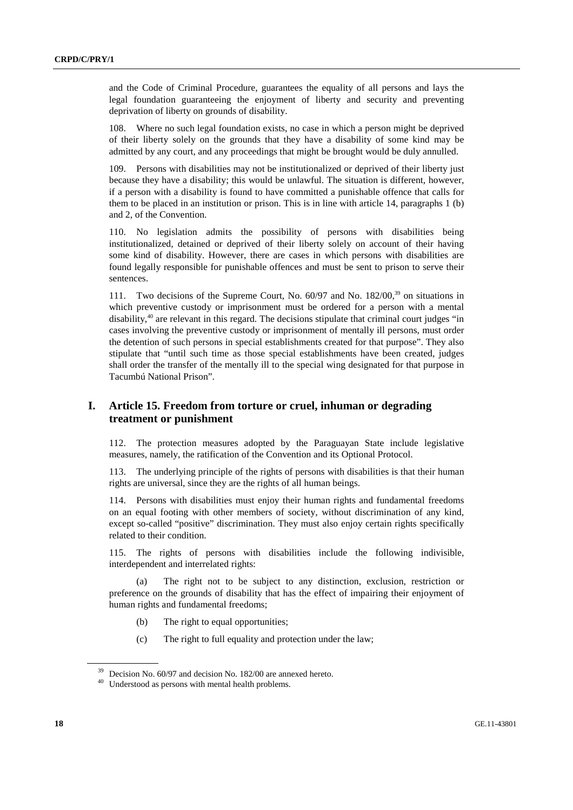and the Code of Criminal Procedure, guarantees the equality of all persons and lays the legal foundation guaranteeing the enjoyment of liberty and security and preventing deprivation of liberty on grounds of disability.

108. Where no such legal foundation exists, no case in which a person might be deprived of their liberty solely on the grounds that they have a disability of some kind may be admitted by any court, and any proceedings that might be brought would be duly annulled.

109. Persons with disabilities may not be institutionalized or deprived of their liberty just because they have a disability; this would be unlawful. The situation is different, however, if a person with a disability is found to have committed a punishable offence that calls for them to be placed in an institution or prison. This is in line with article 14, paragraphs 1 (b) and 2, of the Convention.

110. No legislation admits the possibility of persons with disabilities being institutionalized, detained or deprived of their liberty solely on account of their having some kind of disability. However, there are cases in which persons with disabilities are found legally responsible for punishable offences and must be sent to prison to serve their sentences.

111. Two decisions of the Supreme Court, No. 60/97 and No. 182/00,<sup>39</sup> on situations in which preventive custody or imprisonment must be ordered for a person with a mental disability,<sup>40</sup> are relevant in this regard. The decisions stipulate that criminal court judges "in cases involving the preventive custody or imprisonment of mentally ill persons, must order the detention of such persons in special establishments created for that purpose". They also stipulate that "until such time as those special establishments have been created, judges shall order the transfer of the mentally ill to the special wing designated for that purpose in Tacumbú National Prison".

## **I. Article 15. Freedom from torture or cruel, inhuman or degrading treatment or punishment**

112. The protection measures adopted by the Paraguayan State include legislative measures, namely, the ratification of the Convention and its Optional Protocol.

113. The underlying principle of the rights of persons with disabilities is that their human rights are universal, since they are the rights of all human beings.

114. Persons with disabilities must enjoy their human rights and fundamental freedoms on an equal footing with other members of society, without discrimination of any kind, except so-called "positive" discrimination. They must also enjoy certain rights specifically related to their condition.

115. The rights of persons with disabilities include the following indivisible, interdependent and interrelated rights:

 (a) The right not to be subject to any distinction, exclusion, restriction or preference on the grounds of disability that has the effect of impairing their enjoyment of human rights and fundamental freedoms;

- (b) The right to equal opportunities;
- (c) The right to full equality and protection under the law;

<sup>&</sup>lt;sup>39</sup> Decision No. 60/97 and decision No. 182/00 are annexed hereto.

<sup>&</sup>lt;sup>40</sup> Understood as persons with mental health problems.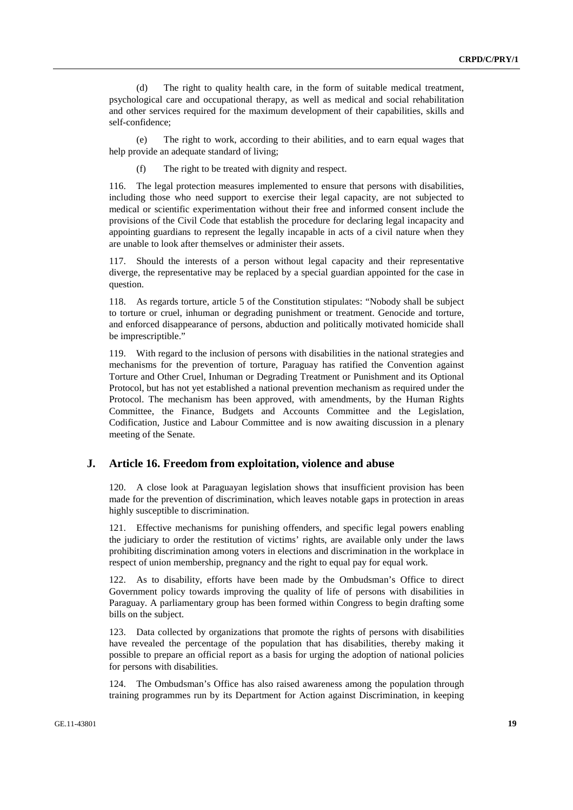(d) The right to quality health care, in the form of suitable medical treatment, psychological care and occupational therapy, as well as medical and social rehabilitation and other services required for the maximum development of their capabilities, skills and self-confidence;

 (e) The right to work, according to their abilities, and to earn equal wages that help provide an adequate standard of living;

(f) The right to be treated with dignity and respect.

116. The legal protection measures implemented to ensure that persons with disabilities, including those who need support to exercise their legal capacity, are not subjected to medical or scientific experimentation without their free and informed consent include the provisions of the Civil Code that establish the procedure for declaring legal incapacity and appointing guardians to represent the legally incapable in acts of a civil nature when they are unable to look after themselves or administer their assets.

117. Should the interests of a person without legal capacity and their representative diverge, the representative may be replaced by a special guardian appointed for the case in question.

118. As regards torture, article 5 of the Constitution stipulates: "Nobody shall be subject to torture or cruel, inhuman or degrading punishment or treatment. Genocide and torture, and enforced disappearance of persons, abduction and politically motivated homicide shall be imprescriptible."

119. With regard to the inclusion of persons with disabilities in the national strategies and mechanisms for the prevention of torture, Paraguay has ratified the Convention against Torture and Other Cruel, Inhuman or Degrading Treatment or Punishment and its Optional Protocol, but has not yet established a national prevention mechanism as required under the Protocol. The mechanism has been approved, with amendments, by the Human Rights Committee, the Finance, Budgets and Accounts Committee and the Legislation, Codification, Justice and Labour Committee and is now awaiting discussion in a plenary meeting of the Senate.

#### **J. Article 16. Freedom from exploitation, violence and abuse**

120. A close look at Paraguayan legislation shows that insufficient provision has been made for the prevention of discrimination, which leaves notable gaps in protection in areas highly susceptible to discrimination.

121. Effective mechanisms for punishing offenders, and specific legal powers enabling the judiciary to order the restitution of victims' rights, are available only under the laws prohibiting discrimination among voters in elections and discrimination in the workplace in respect of union membership, pregnancy and the right to equal pay for equal work.

122. As to disability, efforts have been made by the Ombudsman's Office to direct Government policy towards improving the quality of life of persons with disabilities in Paraguay. A parliamentary group has been formed within Congress to begin drafting some bills on the subject.

123. Data collected by organizations that promote the rights of persons with disabilities have revealed the percentage of the population that has disabilities, thereby making it possible to prepare an official report as a basis for urging the adoption of national policies for persons with disabilities.

124. The Ombudsman's Office has also raised awareness among the population through training programmes run by its Department for Action against Discrimination, in keeping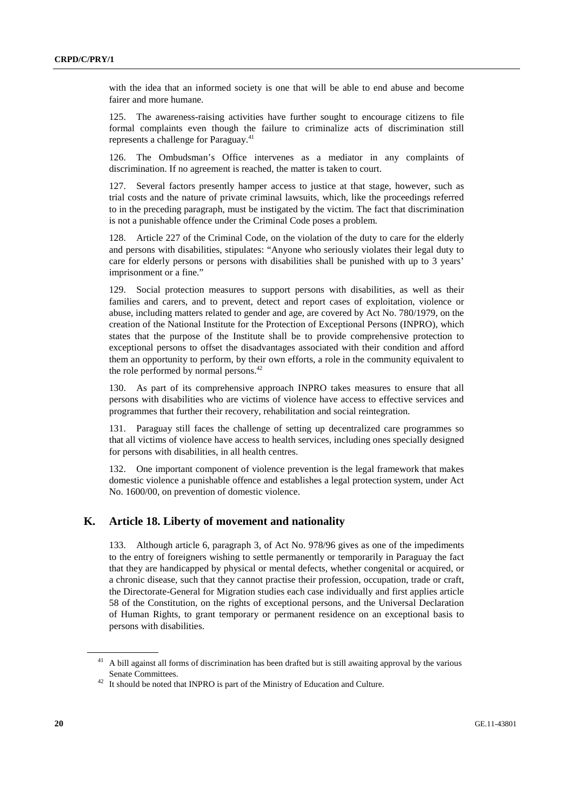with the idea that an informed society is one that will be able to end abuse and become fairer and more humane.

125. The awareness-raising activities have further sought to encourage citizens to file formal complaints even though the failure to criminalize acts of discrimination still represents a challenge for Paraguay.<sup>41</sup>

126. The Ombudsman's Office intervenes as a mediator in any complaints of discrimination. If no agreement is reached, the matter is taken to court.

127. Several factors presently hamper access to justice at that stage, however, such as trial costs and the nature of private criminal lawsuits, which, like the proceedings referred to in the preceding paragraph, must be instigated by the victim. The fact that discrimination is not a punishable offence under the Criminal Code poses a problem.

128. Article 227 of the Criminal Code, on the violation of the duty to care for the elderly and persons with disabilities, stipulates: "Anyone who seriously violates their legal duty to care for elderly persons or persons with disabilities shall be punished with up to 3 years' imprisonment or a fine."

129. Social protection measures to support persons with disabilities, as well as their families and carers, and to prevent, detect and report cases of exploitation, violence or abuse, including matters related to gender and age, are covered by Act No. 780/1979, on the creation of the National Institute for the Protection of Exceptional Persons (INPRO), which states that the purpose of the Institute shall be to provide comprehensive protection to exceptional persons to offset the disadvantages associated with their condition and afford them an opportunity to perform, by their own efforts, a role in the community equivalent to the role performed by normal persons. $42$ 

130. As part of its comprehensive approach INPRO takes measures to ensure that all persons with disabilities who are victims of violence have access to effective services and programmes that further their recovery, rehabilitation and social reintegration.

131. Paraguay still faces the challenge of setting up decentralized care programmes so that all victims of violence have access to health services, including ones specially designed for persons with disabilities, in all health centres.

132. One important component of violence prevention is the legal framework that makes domestic violence a punishable offence and establishes a legal protection system, under Act No. 1600/00, on prevention of domestic violence.

### **K. Article 18. Liberty of movement and nationality**

133. Although article 6, paragraph 3, of Act No. 978/96 gives as one of the impediments to the entry of foreigners wishing to settle permanently or temporarily in Paraguay the fact that they are handicapped by physical or mental defects, whether congenital or acquired, or a chronic disease, such that they cannot practise their profession, occupation, trade or craft, the Directorate-General for Migration studies each case individually and first applies article 58 of the Constitution, on the rights of exceptional persons, and the Universal Declaration of Human Rights, to grant temporary or permanent residence on an exceptional basis to persons with disabilities.

<sup>&</sup>lt;sup>41</sup> A bill against all forms of discrimination has been drafted but is still awaiting approval by the various

Senate Committees.<br><sup>42</sup> It should be noted that INPRO is part of the Ministry of Education and Culture.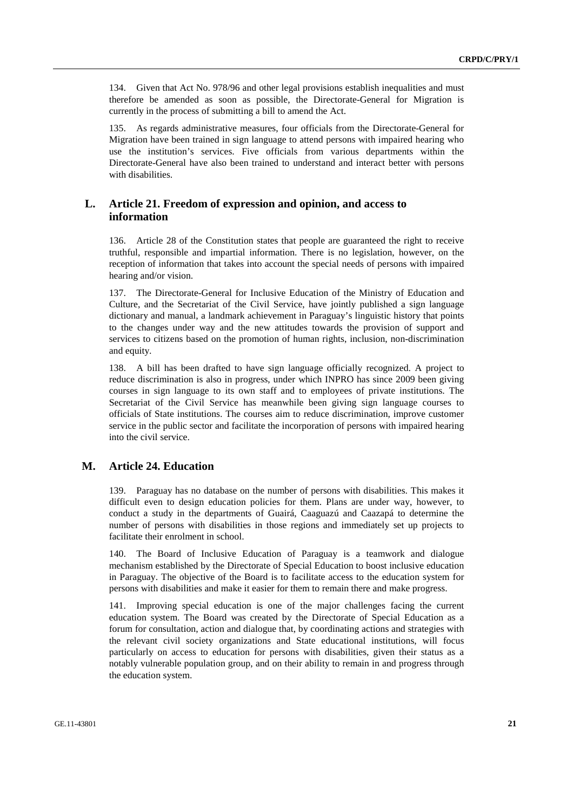134. Given that Act No. 978/96 and other legal provisions establish inequalities and must therefore be amended as soon as possible, the Directorate-General for Migration is currently in the process of submitting a bill to amend the Act.

135. As regards administrative measures, four officials from the Directorate-General for Migration have been trained in sign language to attend persons with impaired hearing who use the institution's services. Five officials from various departments within the Directorate-General have also been trained to understand and interact better with persons with disabilities.

#### **L. Article 21. Freedom of expression and opinion, and access to information**

136. Article 28 of the Constitution states that people are guaranteed the right to receive truthful, responsible and impartial information. There is no legislation, however, on the reception of information that takes into account the special needs of persons with impaired hearing and/or vision.

137. The Directorate-General for Inclusive Education of the Ministry of Education and Culture, and the Secretariat of the Civil Service, have jointly published a sign language dictionary and manual, a landmark achievement in Paraguay's linguistic history that points to the changes under way and the new attitudes towards the provision of support and services to citizens based on the promotion of human rights, inclusion, non-discrimination and equity.

138. A bill has been drafted to have sign language officially recognized. A project to reduce discrimination is also in progress, under which INPRO has since 2009 been giving courses in sign language to its own staff and to employees of private institutions. The Secretariat of the Civil Service has meanwhile been giving sign language courses to officials of State institutions. The courses aim to reduce discrimination, improve customer service in the public sector and facilitate the incorporation of persons with impaired hearing into the civil service.

#### **M. Article 24. Education**

139. Paraguay has no database on the number of persons with disabilities. This makes it difficult even to design education policies for them. Plans are under way, however, to conduct a study in the departments of Guairá, Caaguazú and Caazapá to determine the number of persons with disabilities in those regions and immediately set up projects to facilitate their enrolment in school.

140. The Board of Inclusive Education of Paraguay is a teamwork and dialogue mechanism established by the Directorate of Special Education to boost inclusive education in Paraguay. The objective of the Board is to facilitate access to the education system for persons with disabilities and make it easier for them to remain there and make progress.

141. Improving special education is one of the major challenges facing the current education system. The Board was created by the Directorate of Special Education as a forum for consultation, action and dialogue that, by coordinating actions and strategies with the relevant civil society organizations and State educational institutions, will focus particularly on access to education for persons with disabilities, given their status as a notably vulnerable population group, and on their ability to remain in and progress through the education system.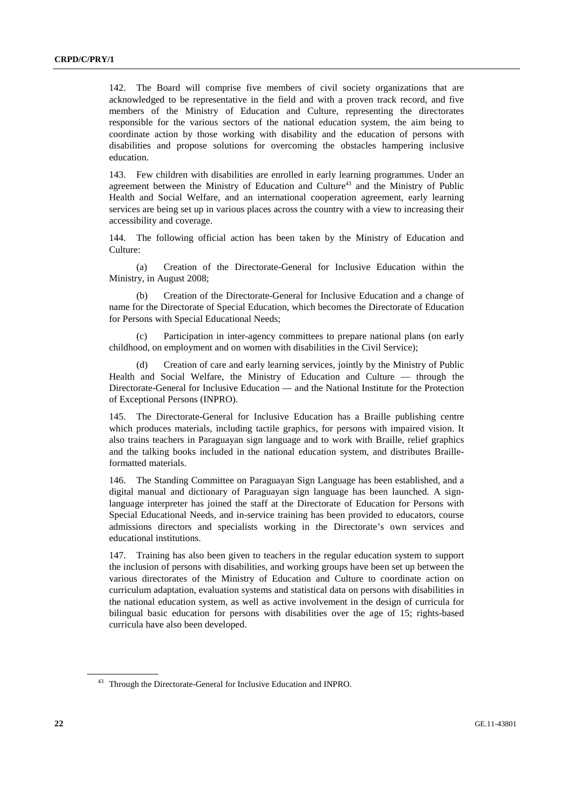142. The Board will comprise five members of civil society organizations that are acknowledged to be representative in the field and with a proven track record, and five members of the Ministry of Education and Culture, representing the directorates responsible for the various sectors of the national education system, the aim being to coordinate action by those working with disability and the education of persons with disabilities and propose solutions for overcoming the obstacles hampering inclusive education.

143. Few children with disabilities are enrolled in early learning programmes. Under an agreement between the Ministry of Education and Culture<sup>43</sup> and the Ministry of Public Health and Social Welfare, and an international cooperation agreement, early learning services are being set up in various places across the country with a view to increasing their accessibility and coverage.

144. The following official action has been taken by the Ministry of Education and Culture:

 (a) Creation of the Directorate-General for Inclusive Education within the Ministry, in August 2008;

 (b) Creation of the Directorate-General for Inclusive Education and a change of name for the Directorate of Special Education, which becomes the Directorate of Education for Persons with Special Educational Needs;

 (c) Participation in inter-agency committees to prepare national plans (on early childhood, on employment and on women with disabilities in the Civil Service);

 (d) Creation of care and early learning services, jointly by the Ministry of Public Health and Social Welfare, the Ministry of Education and Culture — through the Directorate-General for Inclusive Education — and the National Institute for the Protection of Exceptional Persons (INPRO).

145. The Directorate-General for Inclusive Education has a Braille publishing centre which produces materials, including tactile graphics, for persons with impaired vision. It also trains teachers in Paraguayan sign language and to work with Braille, relief graphics and the talking books included in the national education system, and distributes Brailleformatted materials.

146. The Standing Committee on Paraguayan Sign Language has been established, and a digital manual and dictionary of Paraguayan sign language has been launched. A signlanguage interpreter has joined the staff at the Directorate of Education for Persons with Special Educational Needs, and in-service training has been provided to educators, course admissions directors and specialists working in the Directorate's own services and educational institutions.

147. Training has also been given to teachers in the regular education system to support the inclusion of persons with disabilities, and working groups have been set up between the various directorates of the Ministry of Education and Culture to coordinate action on curriculum adaptation, evaluation systems and statistical data on persons with disabilities in the national education system, as well as active involvement in the design of curricula for bilingual basic education for persons with disabilities over the age of 15; rights-based curricula have also been developed.

<sup>&</sup>lt;sup>43</sup> Through the Directorate-General for Inclusive Education and INPRO.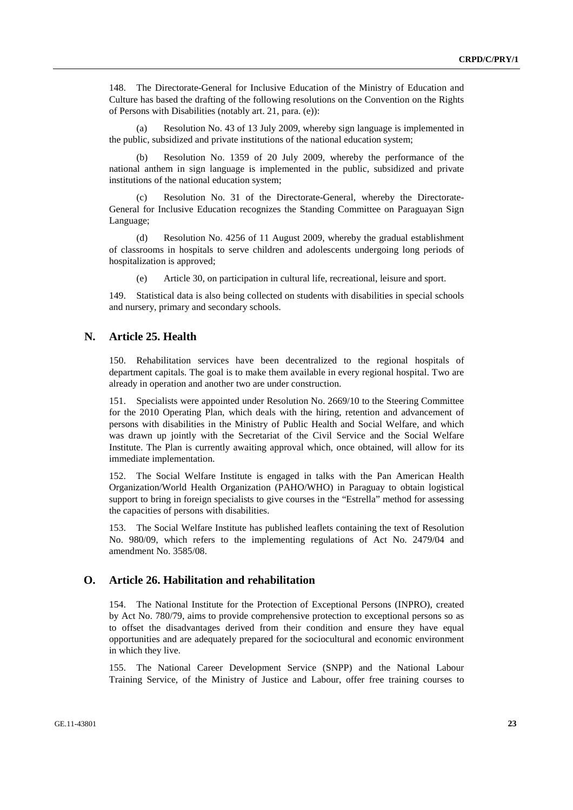148. The Directorate-General for Inclusive Education of the Ministry of Education and Culture has based the drafting of the following resolutions on the Convention on the Rights of Persons with Disabilities (notably art. 21, para. (e)):

 (a) Resolution No. 43 of 13 July 2009, whereby sign language is implemented in the public, subsidized and private institutions of the national education system;

 (b) Resolution No. 1359 of 20 July 2009, whereby the performance of the national anthem in sign language is implemented in the public, subsidized and private institutions of the national education system;

 (c) Resolution No. 31 of the Directorate-General, whereby the Directorate-General for Inclusive Education recognizes the Standing Committee on Paraguayan Sign Language;

 (d) Resolution No. 4256 of 11 August 2009, whereby the gradual establishment of classrooms in hospitals to serve children and adolescents undergoing long periods of hospitalization is approved;

(e) Article 30, on participation in cultural life, recreational, leisure and sport.

149. Statistical data is also being collected on students with disabilities in special schools and nursery, primary and secondary schools.

#### **N. Article 25. Health**

150. Rehabilitation services have been decentralized to the regional hospitals of department capitals. The goal is to make them available in every regional hospital. Two are already in operation and another two are under construction.

151. Specialists were appointed under Resolution No. 2669/10 to the Steering Committee for the 2010 Operating Plan, which deals with the hiring, retention and advancement of persons with disabilities in the Ministry of Public Health and Social Welfare, and which was drawn up jointly with the Secretariat of the Civil Service and the Social Welfare Institute. The Plan is currently awaiting approval which, once obtained, will allow for its immediate implementation.

152. The Social Welfare Institute is engaged in talks with the Pan American Health Organization/World Health Organization (PAHO/WHO) in Paraguay to obtain logistical support to bring in foreign specialists to give courses in the "Estrella" method for assessing the capacities of persons with disabilities.

153. The Social Welfare Institute has published leaflets containing the text of Resolution No. 980/09, which refers to the implementing regulations of Act No. 2479/04 and amendment No. 3585/08.

#### **O. Article 26. Habilitation and rehabilitation**

154. The National Institute for the Protection of Exceptional Persons (INPRO), created by Act No. 780/79, aims to provide comprehensive protection to exceptional persons so as to offset the disadvantages derived from their condition and ensure they have equal opportunities and are adequately prepared for the sociocultural and economic environment in which they live.

155. The National Career Development Service (SNPP) and the National Labour Training Service, of the Ministry of Justice and Labour, offer free training courses to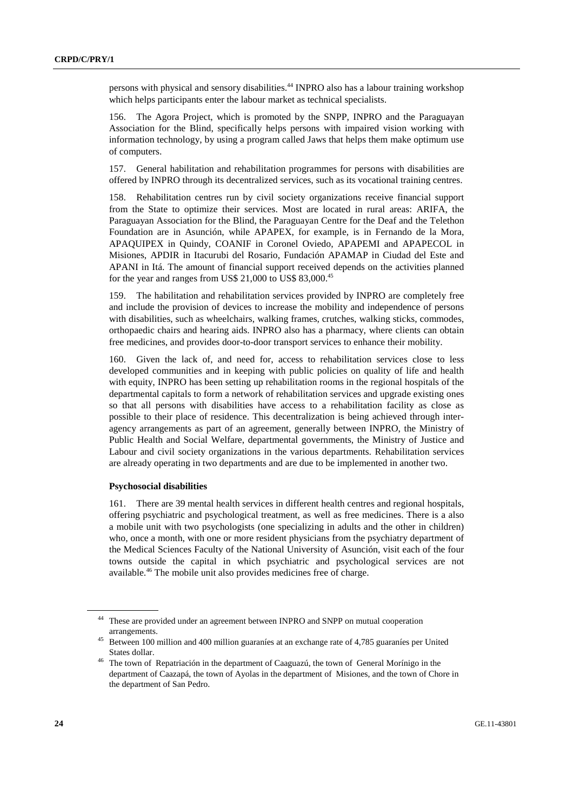persons with physical and sensory disabilities.<sup>44</sup> INPRO also has a labour training workshop which helps participants enter the labour market as technical specialists.

156. The Agora Project, which is promoted by the SNPP, INPRO and the Paraguayan Association for the Blind, specifically helps persons with impaired vision working with information technology, by using a program called Jaws that helps them make optimum use of computers.

157. General habilitation and rehabilitation programmes for persons with disabilities are offered by INPRO through its decentralized services, such as its vocational training centres.

158. Rehabilitation centres run by civil society organizations receive financial support from the State to optimize their services. Most are located in rural areas: ARIFA, the Paraguayan Association for the Blind, the Paraguayan Centre for the Deaf and the Telethon Foundation are in Asunción, while APAPEX, for example, is in Fernando de la Mora, APAQUIPEX in Quindy, COANIF in Coronel Oviedo, APAPEMI and APAPECOL in Misiones, APDIR in Itacurubi del Rosario, Fundación APAMAP in Ciudad del Este and APANI in Itá. The amount of financial support received depends on the activities planned for the year and ranges from US\$ 21,000 to US\$ 83,000.<sup>45</sup>

159. The habilitation and rehabilitation services provided by INPRO are completely free and include the provision of devices to increase the mobility and independence of persons with disabilities, such as wheelchairs, walking frames, crutches, walking sticks, commodes, orthopaedic chairs and hearing aids. INPRO also has a pharmacy, where clients can obtain free medicines, and provides door-to-door transport services to enhance their mobility.

160. Given the lack of, and need for, access to rehabilitation services close to less developed communities and in keeping with public policies on quality of life and health with equity, INPRO has been setting up rehabilitation rooms in the regional hospitals of the departmental capitals to form a network of rehabilitation services and upgrade existing ones so that all persons with disabilities have access to a rehabilitation facility as close as possible to their place of residence. This decentralization is being achieved through interagency arrangements as part of an agreement, generally between INPRO, the Ministry of Public Health and Social Welfare, departmental governments, the Ministry of Justice and Labour and civil society organizations in the various departments. Rehabilitation services are already operating in two departments and are due to be implemented in another two.

#### **Psychosocial disabilities**

161. There are 39 mental health services in different health centres and regional hospitals, offering psychiatric and psychological treatment, as well as free medicines. There is a also a mobile unit with two psychologists (one specializing in adults and the other in children) who, once a month, with one or more resident physicians from the psychiatry department of the Medical Sciences Faculty of the National University of Asunción, visit each of the four towns outside the capital in which psychiatric and psychological services are not available.46 The mobile unit also provides medicines free of charge.

<sup>44</sup> These are provided under an agreement between INPRO and SNPP on mutual cooperation

arrangements. 45 Between 100 million and 400 million guaraníes at an exchange rate of 4,785 guaraníes per United States dollar. 46 The town of Repatriación in the department of Caaguazú, the town of General Morínigo in the

department of Caazapá, the town of Ayolas in the department of Misiones, and the town of Chore in the department of San Pedro.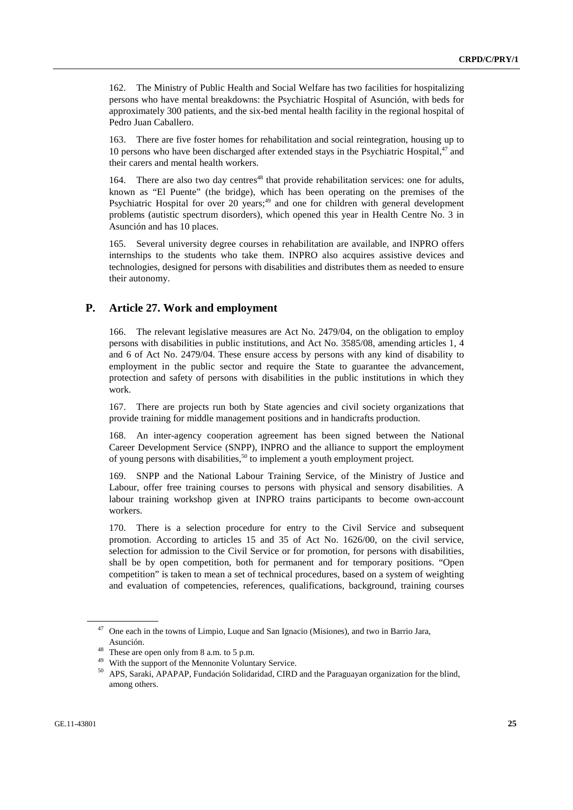162. The Ministry of Public Health and Social Welfare has two facilities for hospitalizing persons who have mental breakdowns: the Psychiatric Hospital of Asunción, with beds for approximately 300 patients, and the six-bed mental health facility in the regional hospital of Pedro Juan Caballero.

163. There are five foster homes for rehabilitation and social reintegration, housing up to 10 persons who have been discharged after extended stays in the Psychiatric Hospital, $47$  and their carers and mental health workers.

164. There are also two day centres<sup>48</sup> that provide rehabilitation services: one for adults, known as "El Puente" (the bridge), which has been operating on the premises of the Psychiatric Hospital for over 20 years; $49$  and one for children with general development problems (autistic spectrum disorders), which opened this year in Health Centre No. 3 in Asunción and has 10 places.

165. Several university degree courses in rehabilitation are available, and INPRO offers internships to the students who take them. INPRO also acquires assistive devices and technologies, designed for persons with disabilities and distributes them as needed to ensure their autonomy.

#### **P. Article 27. Work and employment**

166. The relevant legislative measures are Act No. 2479/04, on the obligation to employ persons with disabilities in public institutions, and Act No. 3585/08, amending articles 1, 4 and 6 of Act No. 2479/04. These ensure access by persons with any kind of disability to employment in the public sector and require the State to guarantee the advancement, protection and safety of persons with disabilities in the public institutions in which they work.

167. There are projects run both by State agencies and civil society organizations that provide training for middle management positions and in handicrafts production.

168. An inter-agency cooperation agreement has been signed between the National Career Development Service (SNPP), INPRO and the alliance to support the employment of young persons with disabilities,  $50$  to implement a youth employment project.

169. SNPP and the National Labour Training Service, of the Ministry of Justice and Labour, offer free training courses to persons with physical and sensory disabilities. A labour training workshop given at INPRO trains participants to become own-account workers.

170. There is a selection procedure for entry to the Civil Service and subsequent promotion. According to articles 15 and 35 of Act No. 1626/00, on the civil service, selection for admission to the Civil Service or for promotion, for persons with disabilities, shall be by open competition, both for permanent and for temporary positions. "Open competition" is taken to mean a set of technical procedures, based on a system of weighting and evaluation of competencies, references, qualifications, background, training courses

<sup>47</sup> One each in the towns of Limpio, Luque and San Ignacio (Misiones), and two in Barrio Jara, Asunción. 48 These are open only from 8 a.m. to 5 p.m.

<sup>&</sup>lt;sup>49</sup> With the support of the Mennonite Voluntary Service.

<sup>50</sup> APS, Saraki, APAPAP, Fundación Solidaridad, CIRD and the Paraguayan organization for the blind, among others.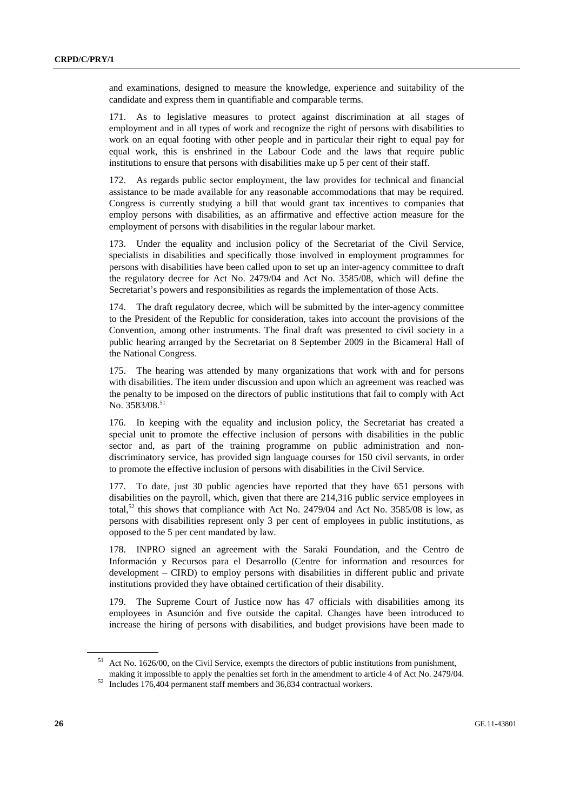and examinations, designed to measure the knowledge, experience and suitability of the candidate and express them in quantifiable and comparable terms.

171. As to legislative measures to protect against discrimination at all stages of employment and in all types of work and recognize the right of persons with disabilities to work on an equal footing with other people and in particular their right to equal pay for equal work, this is enshrined in the Labour Code and the laws that require public institutions to ensure that persons with disabilities make up 5 per cent of their staff.

172. As regards public sector employment, the law provides for technical and financial assistance to be made available for any reasonable accommodations that may be required. Congress is currently studying a bill that would grant tax incentives to companies that employ persons with disabilities, as an affirmative and effective action measure for the employment of persons with disabilities in the regular labour market.

173. Under the equality and inclusion policy of the Secretariat of the Civil Service, specialists in disabilities and specifically those involved in employment programmes for persons with disabilities have been called upon to set up an inter-agency committee to draft the regulatory decree for Act No. 2479/04 and Act No. 3585/08, which will define the Secretariat's powers and responsibilities as regards the implementation of those Acts.

174. The draft regulatory decree, which will be submitted by the inter-agency committee to the President of the Republic for consideration, takes into account the provisions of the Convention, among other instruments. The final draft was presented to civil society in a public hearing arranged by the Secretariat on 8 September 2009 in the Bicameral Hall of the National Congress.

175. The hearing was attended by many organizations that work with and for persons with disabilities. The item under discussion and upon which an agreement was reached was the penalty to be imposed on the directors of public institutions that fail to comply with Act No. 3583/08.<sup>51</sup>

176. In keeping with the equality and inclusion policy, the Secretariat has created a special unit to promote the effective inclusion of persons with disabilities in the public sector and, as part of the training programme on public administration and nondiscriminatory service, has provided sign language courses for 150 civil servants, in order to promote the effective inclusion of persons with disabilities in the Civil Service.

177. To date, just 30 public agencies have reported that they have 651 persons with disabilities on the payroll, which, given that there are 214,316 public service employees in total, $52$  this shows that compliance with Act No. 2479/04 and Act No. 3585/08 is low, as persons with disabilities represent only 3 per cent of employees in public institutions, as opposed to the 5 per cent mandated by law.

178. INPRO signed an agreement with the Saraki Foundation, and the Centro de Información y Recursos para el Desarrollo (Centre for information and resources for development – CIRD) to employ persons with disabilities in different public and private institutions provided they have obtained certification of their disability.

179. The Supreme Court of Justice now has 47 officials with disabilities among its employees in Asunción and five outside the capital. Changes have been introduced to increase the hiring of persons with disabilities, and budget provisions have been made to

<sup>&</sup>lt;sup>51</sup> Act No. 1626/00, on the Civil Service, exempts the directors of public institutions from punishment, making it impossible to apply the penalties set forth in the amendment to article 4 of Act No. 2479/04. 52 Includes 176,404 permanent staff members and 36,834 contractual workers.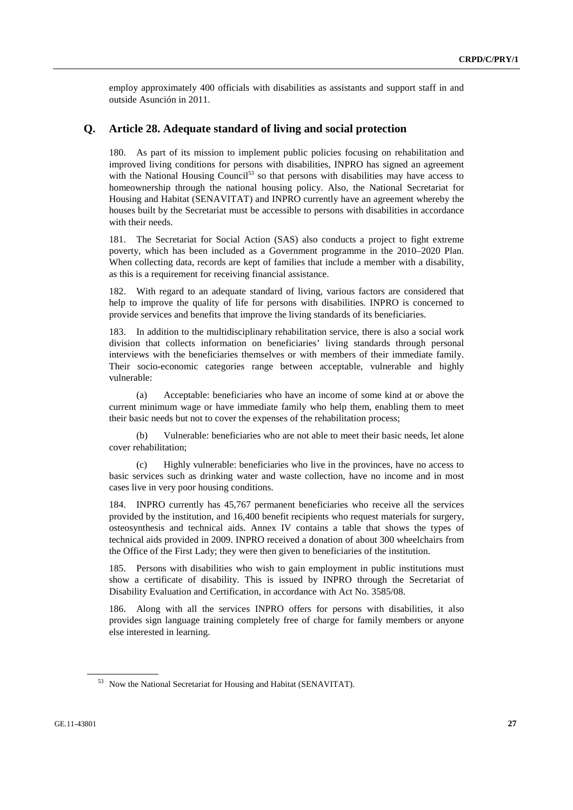employ approximately 400 officials with disabilities as assistants and support staff in and outside Asunción in 2011.

#### **Q. Article 28. Adequate standard of living and social protection**

180. As part of its mission to implement public policies focusing on rehabilitation and improved living conditions for persons with disabilities, INPRO has signed an agreement with the National Housing Council<sup>53</sup> so that persons with disabilities may have access to homeownership through the national housing policy. Also, the National Secretariat for Housing and Habitat (SENAVITAT) and INPRO currently have an agreement whereby the houses built by the Secretariat must be accessible to persons with disabilities in accordance with their needs.

181. The Secretariat for Social Action (SAS) also conducts a project to fight extreme poverty, which has been included as a Government programme in the 2010–2020 Plan. When collecting data, records are kept of families that include a member with a disability, as this is a requirement for receiving financial assistance.

182. With regard to an adequate standard of living, various factors are considered that help to improve the quality of life for persons with disabilities. INPRO is concerned to provide services and benefits that improve the living standards of its beneficiaries.

183. In addition to the multidisciplinary rehabilitation service, there is also a social work division that collects information on beneficiaries' living standards through personal interviews with the beneficiaries themselves or with members of their immediate family. Their socio-economic categories range between acceptable, vulnerable and highly vulnerable:

 (a) Acceptable: beneficiaries who have an income of some kind at or above the current minimum wage or have immediate family who help them, enabling them to meet their basic needs but not to cover the expenses of the rehabilitation process;

 (b) Vulnerable: beneficiaries who are not able to meet their basic needs, let alone cover rehabilitation;

 (c) Highly vulnerable: beneficiaries who live in the provinces, have no access to basic services such as drinking water and waste collection, have no income and in most cases live in very poor housing conditions.

184. INPRO currently has 45,767 permanent beneficiaries who receive all the services provided by the institution, and 16,400 benefit recipients who request materials for surgery, osteosynthesis and technical aids. Annex IV contains a table that shows the types of technical aids provided in 2009. INPRO received a donation of about 300 wheelchairs from the Office of the First Lady; they were then given to beneficiaries of the institution.

185. Persons with disabilities who wish to gain employment in public institutions must show a certificate of disability. This is issued by INPRO through the Secretariat of Disability Evaluation and Certification, in accordance with Act No. 3585/08.

186. Along with all the services INPRO offers for persons with disabilities, it also provides sign language training completely free of charge for family members or anyone else interested in learning.

<sup>&</sup>lt;sup>53</sup> Now the National Secretariat for Housing and Habitat (SENAVITAT).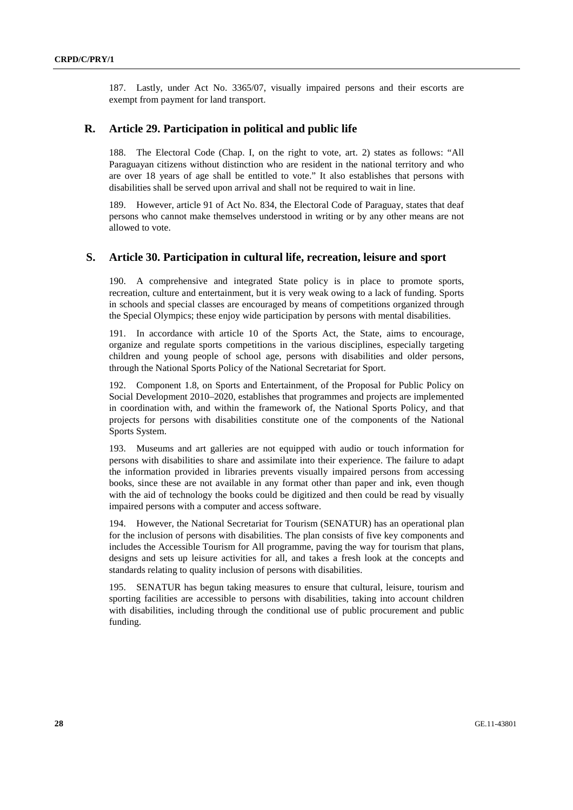187. Lastly, under Act No. 3365/07, visually impaired persons and their escorts are exempt from payment for land transport.

#### **R. Article 29. Participation in political and public life**

188. The Electoral Code (Chap. I, on the right to vote, art. 2) states as follows: "All Paraguayan citizens without distinction who are resident in the national territory and who are over 18 years of age shall be entitled to vote." It also establishes that persons with disabilities shall be served upon arrival and shall not be required to wait in line.

189. However, article 91 of Act No. 834, the Electoral Code of Paraguay, states that deaf persons who cannot make themselves understood in writing or by any other means are not allowed to vote.

#### **S. Article 30. Participation in cultural life, recreation, leisure and sport**

190. A comprehensive and integrated State policy is in place to promote sports, recreation, culture and entertainment, but it is very weak owing to a lack of funding. Sports in schools and special classes are encouraged by means of competitions organized through the Special Olympics; these enjoy wide participation by persons with mental disabilities.

191. In accordance with article 10 of the Sports Act, the State, aims to encourage, organize and regulate sports competitions in the various disciplines, especially targeting children and young people of school age, persons with disabilities and older persons, through the National Sports Policy of the National Secretariat for Sport.

192. Component 1.8, on Sports and Entertainment, of the Proposal for Public Policy on Social Development 2010–2020, establishes that programmes and projects are implemented in coordination with, and within the framework of, the National Sports Policy, and that projects for persons with disabilities constitute one of the components of the National Sports System.

193. Museums and art galleries are not equipped with audio or touch information for persons with disabilities to share and assimilate into their experience. The failure to adapt the information provided in libraries prevents visually impaired persons from accessing books, since these are not available in any format other than paper and ink, even though with the aid of technology the books could be digitized and then could be read by visually impaired persons with a computer and access software.

194. However, the National Secretariat for Tourism (SENATUR) has an operational plan for the inclusion of persons with disabilities. The plan consists of five key components and includes the Accessible Tourism for All programme, paving the way for tourism that plans, designs and sets up leisure activities for all, and takes a fresh look at the concepts and standards relating to quality inclusion of persons with disabilities.

195. SENATUR has begun taking measures to ensure that cultural, leisure, tourism and sporting facilities are accessible to persons with disabilities, taking into account children with disabilities, including through the conditional use of public procurement and public funding.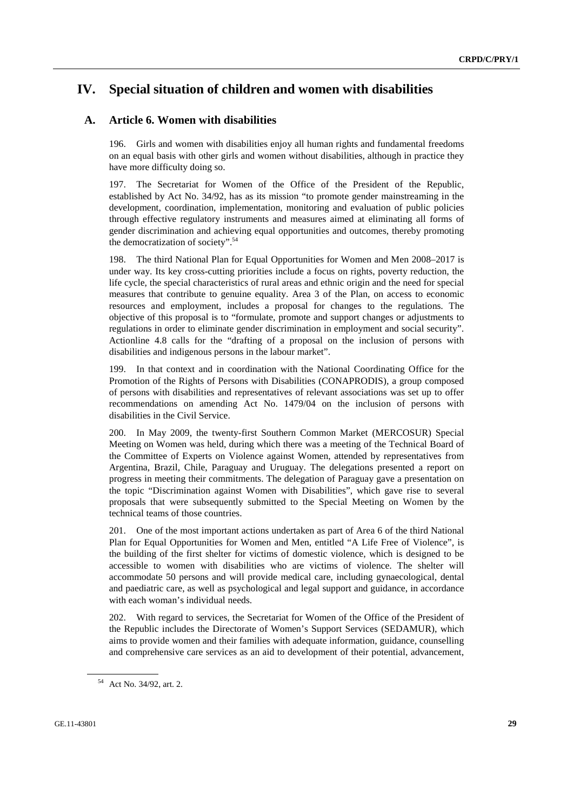## **IV. Special situation of children and women with disabilities**

### **A. Article 6. Women with disabilities**

196. Girls and women with disabilities enjoy all human rights and fundamental freedoms on an equal basis with other girls and women without disabilities, although in practice they have more difficulty doing so.

197. The Secretariat for Women of the Office of the President of the Republic, established by Act No. 34/92, has as its mission "to promote gender mainstreaming in the development, coordination, implementation, monitoring and evaluation of public policies through effective regulatory instruments and measures aimed at eliminating all forms of gender discrimination and achieving equal opportunities and outcomes, thereby promoting the democratization of society".<sup>54</sup>

198. The third National Plan for Equal Opportunities for Women and Men 2008–2017 is under way. Its key cross-cutting priorities include a focus on rights, poverty reduction, the life cycle, the special characteristics of rural areas and ethnic origin and the need for special measures that contribute to genuine equality. Area 3 of the Plan, on access to economic resources and employment, includes a proposal for changes to the regulations. The objective of this proposal is to "formulate, promote and support changes or adjustments to regulations in order to eliminate gender discrimination in employment and social security". Actionline 4.8 calls for the "drafting of a proposal on the inclusion of persons with disabilities and indigenous persons in the labour market".

199. In that context and in coordination with the National Coordinating Office for the Promotion of the Rights of Persons with Disabilities (CONAPRODIS), a group composed of persons with disabilities and representatives of relevant associations was set up to offer recommendations on amending Act No. 1479/04 on the inclusion of persons with disabilities in the Civil Service.

200. In May 2009, the twenty-first Southern Common Market (MERCOSUR) Special Meeting on Women was held, during which there was a meeting of the Technical Board of the Committee of Experts on Violence against Women, attended by representatives from Argentina, Brazil, Chile, Paraguay and Uruguay. The delegations presented a report on progress in meeting their commitments. The delegation of Paraguay gave a presentation on the topic "Discrimination against Women with Disabilities", which gave rise to several proposals that were subsequently submitted to the Special Meeting on Women by the technical teams of those countries.

201. One of the most important actions undertaken as part of Area 6 of the third National Plan for Equal Opportunities for Women and Men, entitled "A Life Free of Violence", is the building of the first shelter for victims of domestic violence, which is designed to be accessible to women with disabilities who are victims of violence. The shelter will accommodate 50 persons and will provide medical care, including gynaecological, dental and paediatric care, as well as psychological and legal support and guidance, in accordance with each woman's individual needs.

202. With regard to services, the Secretariat for Women of the Office of the President of the Republic includes the Directorate of Women's Support Services (SEDAMUR), which aims to provide women and their families with adequate information, guidance, counselling and comprehensive care services as an aid to development of their potential, advancement,

<sup>54</sup> Act No. 34/92, art. 2.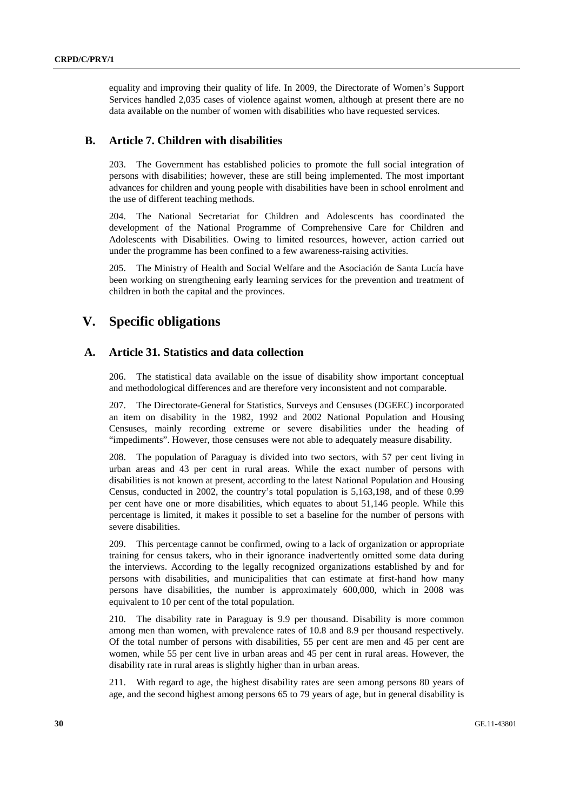equality and improving their quality of life. In 2009, the Directorate of Women's Support Services handled 2,035 cases of violence against women, although at present there are no data available on the number of women with disabilities who have requested services.

### **B. Article 7. Children with disabilities**

203. The Government has established policies to promote the full social integration of persons with disabilities; however, these are still being implemented. The most important advances for children and young people with disabilities have been in school enrolment and the use of different teaching methods.

204. The National Secretariat for Children and Adolescents has coordinated the development of the National Programme of Comprehensive Care for Children and Adolescents with Disabilities. Owing to limited resources, however, action carried out under the programme has been confined to a few awareness-raising activities.

205. The Ministry of Health and Social Welfare and the Asociación de Santa Lucía have been working on strengthening early learning services for the prevention and treatment of children in both the capital and the provinces.

## **V. Specific obligations**

## **A. Article 31. Statistics and data collection**

206. The statistical data available on the issue of disability show important conceptual and methodological differences and are therefore very inconsistent and not comparable.

207. The Directorate-General for Statistics, Surveys and Censuses (DGEEC) incorporated an item on disability in the 1982, 1992 and 2002 National Population and Housing Censuses, mainly recording extreme or severe disabilities under the heading of "impediments". However, those censuses were not able to adequately measure disability.

208. The population of Paraguay is divided into two sectors, with 57 per cent living in urban areas and 43 per cent in rural areas. While the exact number of persons with disabilities is not known at present, according to the latest National Population and Housing Census, conducted in 2002, the country's total population is 5,163,198, and of these 0.99 per cent have one or more disabilities, which equates to about 51,146 people. While this percentage is limited, it makes it possible to set a baseline for the number of persons with severe disabilities.

209. This percentage cannot be confirmed, owing to a lack of organization or appropriate training for census takers, who in their ignorance inadvertently omitted some data during the interviews. According to the legally recognized organizations established by and for persons with disabilities, and municipalities that can estimate at first-hand how many persons have disabilities, the number is approximately 600,000, which in 2008 was equivalent to 10 per cent of the total population.

210. The disability rate in Paraguay is 9.9 per thousand. Disability is more common among men than women, with prevalence rates of 10.8 and 8.9 per thousand respectively. Of the total number of persons with disabilities, 55 per cent are men and 45 per cent are women, while 55 per cent live in urban areas and 45 per cent in rural areas. However, the disability rate in rural areas is slightly higher than in urban areas.

211. With regard to age, the highest disability rates are seen among persons 80 years of age, and the second highest among persons 65 to 79 years of age, but in general disability is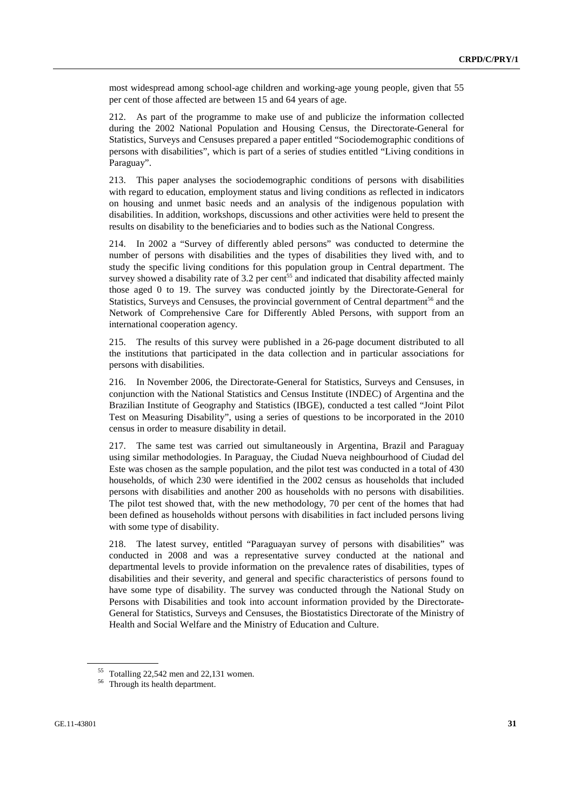most widespread among school-age children and working-age young people, given that 55 per cent of those affected are between 15 and 64 years of age.

212. As part of the programme to make use of and publicize the information collected during the 2002 National Population and Housing Census, the Directorate-General for Statistics, Surveys and Censuses prepared a paper entitled "Sociodemographic conditions of persons with disabilities", which is part of a series of studies entitled "Living conditions in Paraguay".

213. This paper analyses the sociodemographic conditions of persons with disabilities with regard to education, employment status and living conditions as reflected in indicators on housing and unmet basic needs and an analysis of the indigenous population with disabilities. In addition, workshops, discussions and other activities were held to present the results on disability to the beneficiaries and to bodies such as the National Congress.

214. In 2002 a "Survey of differently abled persons" was conducted to determine the number of persons with disabilities and the types of disabilities they lived with, and to study the specific living conditions for this population group in Central department. The survey showed a disability rate of  $3.2$  per cent<sup>55</sup> and indicated that disability affected mainly those aged 0 to 19. The survey was conducted jointly by the Directorate-General for Statistics, Surveys and Censuses, the provincial government of Central department<sup>56</sup> and the Network of Comprehensive Care for Differently Abled Persons, with support from an international cooperation agency.

215. The results of this survey were published in a 26-page document distributed to all the institutions that participated in the data collection and in particular associations for persons with disabilities.

216. In November 2006, the Directorate-General for Statistics, Surveys and Censuses, in conjunction with the National Statistics and Census Institute (INDEC) of Argentina and the Brazilian Institute of Geography and Statistics (IBGE), conducted a test called "Joint Pilot Test on Measuring Disability", using a series of questions to be incorporated in the 2010 census in order to measure disability in detail.

217. The same test was carried out simultaneously in Argentina, Brazil and Paraguay using similar methodologies. In Paraguay, the Ciudad Nueva neighbourhood of Ciudad del Este was chosen as the sample population, and the pilot test was conducted in a total of 430 households, of which 230 were identified in the 2002 census as households that included persons with disabilities and another 200 as households with no persons with disabilities. The pilot test showed that, with the new methodology, 70 per cent of the homes that had been defined as households without persons with disabilities in fact included persons living with some type of disability.

218. The latest survey, entitled "Paraguayan survey of persons with disabilities" was conducted in 2008 and was a representative survey conducted at the national and departmental levels to provide information on the prevalence rates of disabilities, types of disabilities and their severity, and general and specific characteristics of persons found to have some type of disability. The survey was conducted through the National Study on Persons with Disabilities and took into account information provided by the Directorate-General for Statistics, Surveys and Censuses, the Biostatistics Directorate of the Ministry of Health and Social Welfare and the Ministry of Education and Culture.

<sup>55</sup> Totalling 22,542 men and 22,131 women.

<sup>56</sup> Through its health department.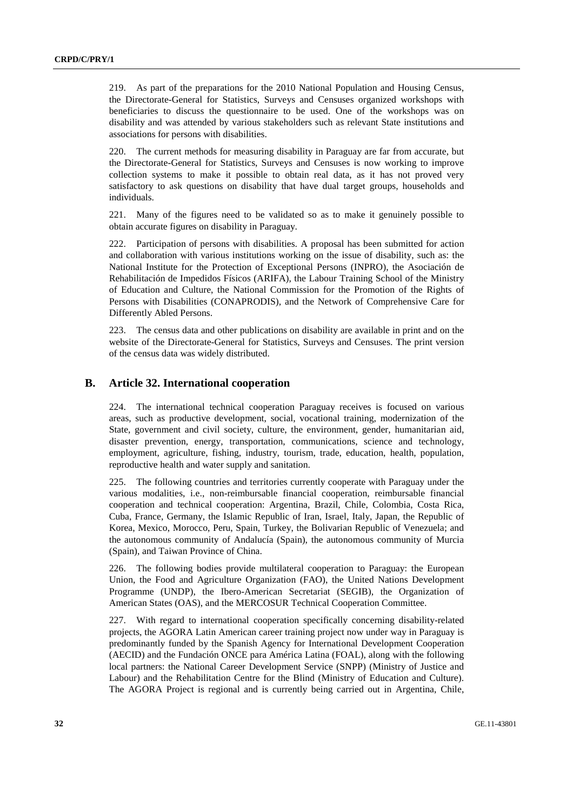219. As part of the preparations for the 2010 National Population and Housing Census, the Directorate-General for Statistics, Surveys and Censuses organized workshops with beneficiaries to discuss the questionnaire to be used. One of the workshops was on disability and was attended by various stakeholders such as relevant State institutions and associations for persons with disabilities.

220. The current methods for measuring disability in Paraguay are far from accurate, but the Directorate-General for Statistics, Surveys and Censuses is now working to improve collection systems to make it possible to obtain real data, as it has not proved very satisfactory to ask questions on disability that have dual target groups, households and individuals.

221. Many of the figures need to be validated so as to make it genuinely possible to obtain accurate figures on disability in Paraguay.

222. Participation of persons with disabilities. A proposal has been submitted for action and collaboration with various institutions working on the issue of disability, such as: the National Institute for the Protection of Exceptional Persons (INPRO), the Asociación de Rehabilitación de Impedidos Físicos (ARIFA), the Labour Training School of the Ministry of Education and Culture, the National Commission for the Promotion of the Rights of Persons with Disabilities (CONAPRODIS), and the Network of Comprehensive Care for Differently Abled Persons.

223. The census data and other publications on disability are available in print and on the website of the Directorate-General for Statistics, Surveys and Censuses. The print version of the census data was widely distributed.

### **B. Article 32. International cooperation**

224. The international technical cooperation Paraguay receives is focused on various areas, such as productive development, social, vocational training, modernization of the State, government and civil society, culture, the environment, gender, humanitarian aid, disaster prevention, energy, transportation, communications, science and technology, employment, agriculture, fishing, industry, tourism, trade, education, health, population, reproductive health and water supply and sanitation.

225. The following countries and territories currently cooperate with Paraguay under the various modalities, i.e., non-reimbursable financial cooperation, reimbursable financial cooperation and technical cooperation: Argentina, Brazil, Chile, Colombia, Costa Rica, Cuba, France, Germany, the Islamic Republic of Iran, Israel, Italy, Japan, the Republic of Korea, Mexico, Morocco, Peru, Spain, Turkey, the Bolivarian Republic of Venezuela; and the autonomous community of Andalucía (Spain), the autonomous community of Murcia (Spain), and Taiwan Province of China.

226. The following bodies provide multilateral cooperation to Paraguay: the European Union, the Food and Agriculture Organization (FAO), the United Nations Development Programme (UNDP), the Ibero-American Secretariat (SEGIB), the Organization of American States (OAS), and the MERCOSUR Technical Cooperation Committee.

227. With regard to international cooperation specifically concerning disability-related projects, the AGORA Latin American career training project now under way in Paraguay is predominantly funded by the Spanish Agency for International Development Cooperation (AECID) and the Fundación ONCE para América Latina (FOAL), along with the following local partners: the National Career Development Service (SNPP) (Ministry of Justice and Labour) and the Rehabilitation Centre for the Blind (Ministry of Education and Culture). The AGORA Project is regional and is currently being carried out in Argentina, Chile,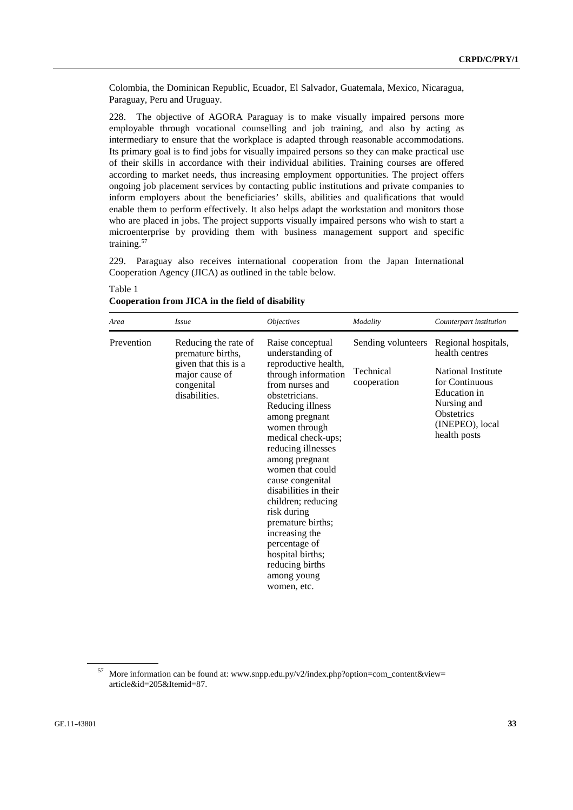Colombia, the Dominican Republic, Ecuador, El Salvador, Guatemala, Mexico, Nicaragua, Paraguay, Peru and Uruguay.

228. The objective of AGORA Paraguay is to make visually impaired persons more employable through vocational counselling and job training, and also by acting as intermediary to ensure that the workplace is adapted through reasonable accommodations. Its primary goal is to find jobs for visually impaired persons so they can make practical use of their skills in accordance with their individual abilities. Training courses are offered according to market needs, thus increasing employment opportunities. The project offers ongoing job placement services by contacting public institutions and private companies to inform employers about the beneficiaries' skills, abilities and qualifications that would enable them to perform effectively. It also helps adapt the workstation and monitors those who are placed in jobs. The project supports visually impaired persons who wish to start a microenterprise by providing them with business management support and specific training.<sup>57</sup>

229. Paraguay also receives international cooperation from the Japan International Cooperation Agency (JICA) as outlined in the table below.

| Area       | <i>Issue</i>                                                                                                       | <i><b>Objectives</b></i>                                                                                                                                                                                                                                                                                                                                                                                                                                                         | Modality                                       | Counterpart institution                                                                                                                                              |
|------------|--------------------------------------------------------------------------------------------------------------------|----------------------------------------------------------------------------------------------------------------------------------------------------------------------------------------------------------------------------------------------------------------------------------------------------------------------------------------------------------------------------------------------------------------------------------------------------------------------------------|------------------------------------------------|----------------------------------------------------------------------------------------------------------------------------------------------------------------------|
| Prevention | Reducing the rate of<br>premature births,<br>given that this is a<br>major cause of<br>congenital<br>disabilities. | Raise conceptual<br>understanding of<br>reproductive health,<br>through information<br>from nurses and<br>obstetricians.<br>Reducing illness<br>among pregnant<br>women through<br>medical check-ups;<br>reducing illnesses<br>among pregnant<br>women that could<br>cause congenital<br>disabilities in their<br>children; reducing<br>risk during<br>premature births;<br>increasing the<br>percentage of<br>hospital births;<br>reducing births<br>among young<br>women, etc. | Sending volunteers<br>Technical<br>cooperation | Regional hospitals,<br>health centres<br>National Institute<br>for Continuous<br>Education in<br>Nursing and<br><b>Obstetrics</b><br>(INEPEO), local<br>health posts |

**Cooperation from JICA in the field of disability** 

Table 1

<sup>57</sup> More information can be found at: www.snpp.edu.py/v2/index.php?option=com\_content&view= article&id=205&Itemid=87.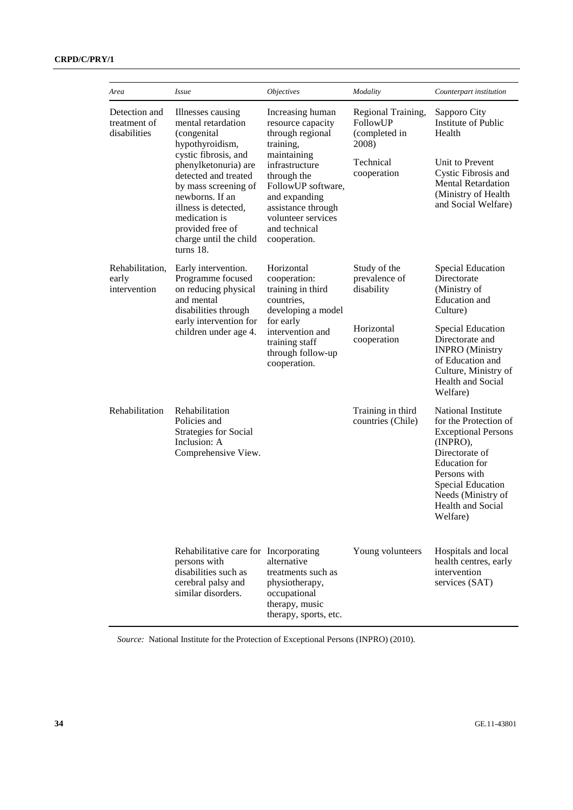| Area                                          | <i>Issue</i>                                                                                                                                                                                                          | <i><b>Objectives</b></i>                                                                                                                                                    | Modality                                                 | Counterpart institution                                                                                                                                                                                                     |
|-----------------------------------------------|-----------------------------------------------------------------------------------------------------------------------------------------------------------------------------------------------------------------------|-----------------------------------------------------------------------------------------------------------------------------------------------------------------------------|----------------------------------------------------------|-----------------------------------------------------------------------------------------------------------------------------------------------------------------------------------------------------------------------------|
| Detection and<br>treatment of<br>disabilities | Illnesses causing<br>mental retardation<br>(congenital<br>hypothyroidism,                                                                                                                                             | Increasing human<br>resource capacity<br>through regional<br>training,                                                                                                      | Regional Training,<br>FollowUP<br>(completed in<br>2008) | Sapporo City<br>Institute of Public<br>Health                                                                                                                                                                               |
|                                               | cystic fibrosis, and<br>phenylketonuria) are<br>detected and treated<br>by mass screening of<br>newborns. If an<br>illness is detected,<br>medication is<br>provided free of<br>charge until the child<br>turns $18.$ | maintaining<br>infrastructure<br>through the<br>FollowUP software,<br>and expanding<br>assistance through<br>volunteer services<br>and technical<br>cooperation.            | Technical<br>cooperation                                 | Unit to Prevent<br>Cystic Fibrosis and<br><b>Mental Retardation</b><br>(Ministry of Health)<br>and Social Welfare)                                                                                                          |
| Rehabilitation,<br>early<br>intervention      | Early intervention.<br>Programme focused<br>on reducing physical<br>and mental<br>disabilities through<br>early intervention for<br>children under age 4.                                                             | Horizontal<br>cooperation:<br>training in third<br>countries,<br>developing a model<br>for early<br>intervention and<br>training staff<br>through follow-up<br>cooperation. | Study of the<br>prevalence of<br>disability              | Special Education<br>Directorate<br>(Ministry of<br>Education and<br>Culture)                                                                                                                                               |
|                                               |                                                                                                                                                                                                                       |                                                                                                                                                                             | Horizontal<br>cooperation                                | <b>Special Education</b><br>Directorate and<br><b>INPRO</b> (Ministry<br>of Education and<br>Culture, Ministry of<br><b>Health and Social</b><br>Welfare)                                                                   |
| Rehabilitation                                | Rehabilitation<br>Policies and<br><b>Strategies for Social</b><br>Inclusion: A<br>Comprehensive View.                                                                                                                 |                                                                                                                                                                             | Training in third<br>countries (Chile)                   | National Institute<br>for the Protection of<br><b>Exceptional Persons</b><br>(INPRO),<br>Directorate of<br><b>Education</b> for<br>Persons with<br>Special Education<br>Needs (Ministry of<br>Health and Social<br>Welfare) |
|                                               | Rehabilitative care for Incorporating<br>persons with<br>disabilities such as<br>cerebral palsy and<br>similar disorders.                                                                                             | alternative<br>treatments such as<br>physiotherapy,<br>occupational<br>therapy, music<br>therapy, sports, etc.                                                              | Young volunteers                                         | Hospitals and local<br>health centres, early<br>intervention<br>services (SAT)                                                                                                                                              |

*Source:* National Institute for the Protection of Exceptional Persons (INPRO) (2010).